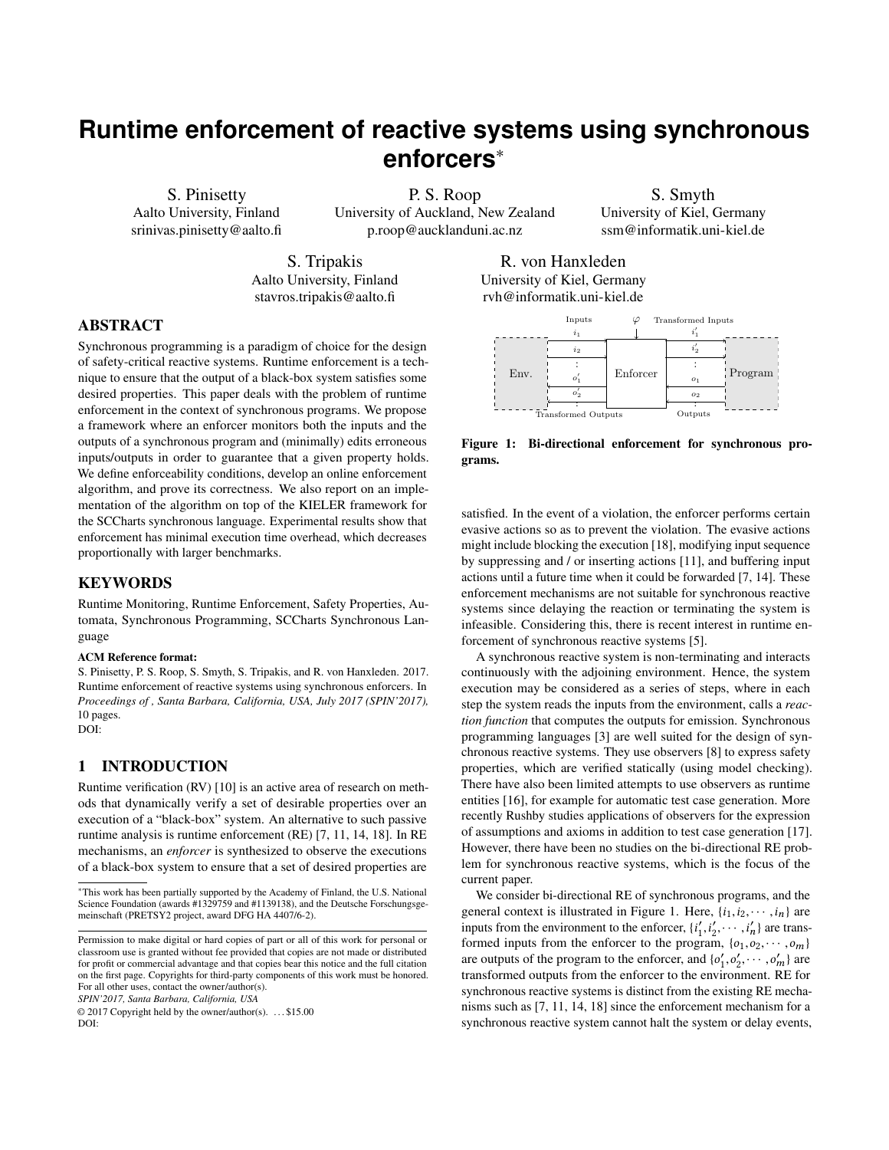# <span id="page-0-1"></span>**Runtime enforcement of reactive systems using synchronous enforcers**<sup>∗</sup>

S. Pinisetty Aalto University, Finland srinivas.pinisetty@aalto.fi

P. S. Roop University of Auckland, New Zealand p.roop@aucklanduni.ac.nz

S. Smyth University of Kiel, Germany ssm@informatik.uni-kiel.de

S. Tripakis Aalto University, Finland stavros.tripakis@aalto.fi

R. von Hanxleden

# ABSTRACT

Synchronous programming is a paradigm of choice for the design of safety-critical reactive systems. Runtime enforcement is a technique to ensure that the output of a black-box system satisfies some desired properties. This paper deals with the problem of runtime enforcement in the context of synchronous programs. We propose a framework where an enforcer monitors both the inputs and the outputs of a synchronous program and (minimally) edits erroneous inputs/outputs in order to guarantee that a given property holds. We define enforceability conditions, develop an online enforcement algorithm, and prove its correctness. We also report on an implementation of the algorithm on top of the KIELER framework for the SCCharts synchronous language. Experimental results show that enforcement has minimal execution time overhead, which decreases proportionally with larger benchmarks.

## **KEYWORDS**

Runtime Monitoring, Runtime Enforcement, Safety Properties, Automata, Synchronous Programming, SCCharts Synchronous Language

#### ACM Reference format:

S. Pinisetty, P. S. Roop, S. Smyth, S. Tripakis, and R. von Hanxleden. 2017. Runtime enforcement of reactive systems using synchronous enforcers. In *Proceedings of , Santa Barbara, California, USA, July 2017 (SPIN'2017),* [10](#page-9-0) pages. DOI:

## 1 INTRODUCTION

Runtime verification (RV) [\[10\]](#page-7-0) is an active area of research on methods that dynamically verify a set of desirable properties over an execution of a "black-box" system. An alternative to such passive runtime analysis is runtime enforcement (RE) [\[7,](#page-7-1) [11,](#page-7-2) [14,](#page-7-3) [18\]](#page-7-4). In RE mechanisms, an *enforcer* is synthesized to observe the executions of a black-box system to ensure that a set of desired properties are

*SPIN'2017, Santa Barbara, California, USA*

© 2017 Copyright held by the owner/author(s). . . . \$15.00 DOI:

grams. satisfied. In the event of a violation, the enforcer performs certain evasive actions so as to prevent the violation. The evasive actions might include blocking the execution [\[18\]](#page-7-4), modifying input sequence by suppressing and / or inserting actions [\[11\]](#page-7-2), and buffering input actions until a future time when it could be forwarded [\[7,](#page-7-1) [14\]](#page-7-3). These enforcement mechanisms are not suitable for synchronous reactive systems since delaying the reaction or terminating the system is infeasible. Considering this, there is recent interest in runtime en-

forcement of synchronous reactive systems [\[5\]](#page-7-5).

A synchronous reactive system is non-terminating and interacts continuously with the adjoining environment. Hence, the system execution may be considered as a series of steps, where in each step the system reads the inputs from the environment, calls a *reaction function* that computes the outputs for emission. Synchronous programming languages [\[3\]](#page-7-6) are well suited for the design of synchronous reactive systems. They use observers [\[8\]](#page-7-7) to express safety properties, which are verified statically (using model checking). There have also been limited attempts to use observers as runtime entities [\[16\]](#page-7-8), for example for automatic test case generation. More recently Rushby studies applications of observers for the expression of assumptions and axioms in addition to test case generation [\[17\]](#page-7-9). However, there have been no studies on the bi-directional RE problem for synchronous reactive systems, which is the focus of the current paper.

We consider bi-directional RE of synchronous programs, and the general context is illustrated in Figure [1.](#page-0-0) Here,  $\{i_1, i_2, \dots, i_n\}$  are inputs from the environment to the enforcer,  $\{i'_1, i'_2, \dots, i'_n\}$  are trans-<br>formed inputs from the enforcer to the program  $\{o_i, o_2, \dots, o_n\}$ formed inputs from the enforcer to the program,  $\{0, 0, 0, \ldots, 0m\}$ <br>are outputs of the program to the enforcer and  $\{a', a, \ldots, a'\}$  are are outputs of the program to the enforcer, and  $\{o'_1, o'_2, \dots, o'_m\}$  are<br>transformed outputs from the enforcer to the environment. BE for transformed outputs from the enforcer to the environment. RE for synchronous reactive systems is distinct from the existing RE mechanisms such as [\[7,](#page-7-1) [11,](#page-7-2) [14,](#page-7-3) [18\]](#page-7-4) since the enforcement mechanism for a synchronous reactive system cannot halt the system or delay events,

University of Kiel, Germany rvh@informatik.uni-kiel.de

<span id="page-0-0"></span>

Figure 1: Bi-directional enforcement for synchronous pro-

<sup>∗</sup>This work has been partially supported by the Academy of Finland, the U.S. National Science Foundation (awards #1329759 and #1139138), and the Deutsche Forschungsgemeinschaft (PRETSY2 project, award DFG HA 4407/6-2).

Permission to make digital or hard copies of part or all of this work for personal or classroom use is granted without fee provided that copies are not made or distributed for profit or commercial advantage and that copies bear this notice and the full citation on the first page. Copyrights for third-party components of this work must be honored. For all other uses, contact the owner/author(s).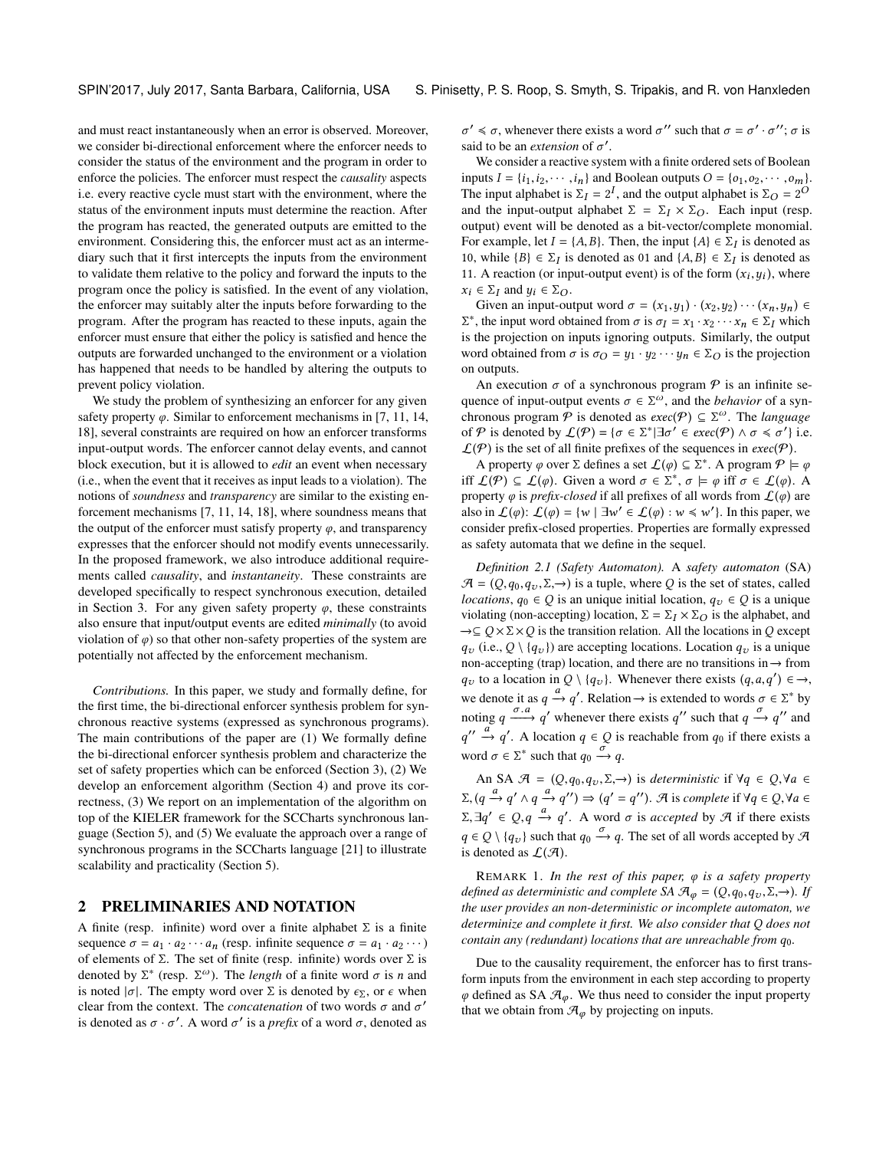and must react instantaneously when an error is observed. Moreover, we consider bi-directional enforcement where the enforcer needs to consider the status of the environment and the program in order to enforce the policies. The enforcer must respect the *causality* aspects i.e. every reactive cycle must start with the environment, where the status of the environment inputs must determine the reaction. After the program has reacted, the generated outputs are emitted to the environment. Considering this, the enforcer must act as an intermediary such that it first intercepts the inputs from the environment to validate them relative to the policy and forward the inputs to the program once the policy is satisfied. In the event of any violation, the enforcer may suitably alter the inputs before forwarding to the program. After the program has reacted to these inputs, again the enforcer must ensure that either the policy is satisfied and hence the outputs are forwarded unchanged to the environment or a violation has happened that needs to be handled by altering the outputs to prevent policy violation.

We study the problem of synthesizing an enforcer for any given safety property  $\varphi$ . Similar to enforcement mechanisms in [\[7,](#page-7-1) [11,](#page-7-2) [14,](#page-7-3) [18\]](#page-7-4), several constraints are required on how an enforcer transforms input-output words. The enforcer cannot delay events, and cannot block execution, but it is allowed to *edit* an event when necessary (i.e., when the event that it receives as input leads to a violation). The notions of *soundness* and *transparency* are similar to the existing enforcement mechanisms [\[7,](#page-7-1) [11,](#page-7-2) [14,](#page-7-3) [18\]](#page-7-4), where soundness means that the output of the enforcer must satisfy property  $\varphi$ , and transparency expresses that the enforcer should not modify events unnecessarily. In the proposed framework, we also introduce additional requirements called *causality*, and *instantaneity*. These constraints are developed specifically to respect synchronous execution, detailed in Section [3.](#page-2-0) For any given safety property  $\varphi$ , these constraints also ensure that input/output events are edited *minimally* (to avoid violation of  $\varphi$ ) so that other non-safety properties of the system are potentially not affected by the enforcement mechanism.

*Contributions.* In this paper, we study and formally define, for the first time, the bi-directional enforcer synthesis problem for synchronous reactive systems (expressed as synchronous programs). The main contributions of the paper are (1) We formally define the bi-directional enforcer synthesis problem and characterize the set of safety properties which can be enforced (Section [3\)](#page-2-0), (2) We develop an enforcement algorithm (Section [4\)](#page-4-0) and prove its correctness, (3) We report on an implementation of the algorithm on top of the KIELER framework for the SCCharts synchronous language (Section [5\)](#page-6-0), and (5) We evaluate the approach over a range of synchronous programs in the SCCharts language [\[21\]](#page-7-10) to illustrate scalability and practicality (Section [5\)](#page-6-0).

## <span id="page-1-1"></span>2 PRELIMINARIES AND NOTATION

A finite (resp. infinite) word over a finite alphabet  $\Sigma$  is a finite sequence  $\sigma = a_1 \cdot a_2 \cdots a_n$  (resp. infinite sequence  $\sigma = a_1 \cdot a_2 \cdots$ ) of elements of Σ. The set of finite (resp. infinite) words over Σ is denoted by  $\Sigma^*$  (resp.  $\Sigma^{\omega}$ ). The *length* of a finite word  $\sigma$  is *n* and is noted  $|\sigma|$ . The empty word over  $\Sigma$  is denoted by  $\infty$ , or  $\epsilon$  when is noted  $|\sigma|$ . The empty word over  $\Sigma$  is denoted by  $\epsilon_{\Sigma}$ , or  $\epsilon$  when clear from the context. The *concatenation* of two words  $\sigma$  and  $\sigma'$  is denoted as  $\sigma \cdot \sigma'$ . A word  $\sigma'$  is a prefix of a word  $\sigma$  denoted as is denoted as  $\sigma \cdot \sigma'$ . A word  $\sigma'$  is a *prefix* of a word  $\sigma$ , denoted as said to be an *extension* of  $\sigma'$ .  $\alpha' \leq \sigma$ , whenever there exists a word  $\sigma''$  such that  $\sigma = \sigma' \cdot \sigma''$ ;  $\sigma$  is such that to be an extension of  $\sigma'$ .

We consider a reactive system with a finite ordered sets of Boolean inputs  $I = \{i_1, i_2, \dots, i_n\}$  and Boolean outputs  $O = \{o_1, o_2, \dots, o_m\}$ . The input alphabet is  $\Sigma_I = 2^I$ , and the output alphabet is  $\Sigma_O = 2^O$ <br>and the input output alphabet  $\Sigma = \Sigma_X \times \Sigma_O$ . Each input (resp and the input-output alphabet  $\Sigma = \Sigma_I \times \Sigma_O$ . Each input (resp. output) event will be denoted as a bit-vector/complete monomial. For example, let  $I = \{A, B\}$ . Then, the input  $\{A\} \in \Sigma_I$  is denoted as 10 uphilo  $IR \subseteq \Sigma_J$  is denoted as 10, while  ${B}$  ∈  $\Sigma_I$  is denoted as 01 and  ${A, B}$  ∈  $\Sigma_I$  is denoted as 11. A reaction (or input-output event) is of the form (x, u) where 11. A reaction (or input-output event) is of the form  $(x_i, y_i)$ , where  $x_i \in \sum_{i=1}^{\infty}$  and  $y_i \in \sum_{i=1}^{\infty}$  $x_i \in \Sigma_I$  and  $y_i \in \Sigma_O$ .

Given an input-output word  $\sigma = (x_1, y_1) \cdot (x_2, y_2) \cdots (x_n, y_n) \in$  $\Sigma^*$ , the input word obtained from  $\sigma$  is  $\sigma_I = x_1 \cdot x_2 \cdots x_n \in \Sigma_I$  which is the projection on inputs ignoring outputs. Similarly, the output is the projection on inputs ignoring outputs. Similarly, the output word obtained from  $\sigma$  is  $\sigma_Q = y_1 \cdot y_2 \cdots y_n \in \Sigma_Q$  is the projection on outputs.

An execution  $\sigma$  of a synchronous program  $\mathcal P$  is an infinite sequence of input-output events  $\sigma \in \Sigma^{\omega}$ , and the *behavior* of a syn-<br>chronous program  $\mathcal{P}$  is denoted as *exec*( $\mathcal{P}$ )  $\subset \Sigma^{\omega}$ . The *language* chronous program  $P$  is denoted as  $exec(P) \subseteq \Sigma^{\omega}$ . The *language* of P is denoted by  $\mathcal{L}(\mathcal{P}) = \{\sigma \in \Sigma^* | \exists \sigma' \in exec(\mathcal{P}) \land \sigma \leq \sigma' \}$  i.e.<br> $\mathcal{L}(\mathcal{P})$  is the set of all finite prefixes of the sequences in  $exec(\mathcal{P})$  $\mathcal{L}(\mathcal{P})$  is the set of all finite prefixes of the sequences in exec(P).

A property  $\varphi$  over  $\Sigma$  defines a set  $\mathcal{L}(\varphi) \subseteq \Sigma^*$ . A program  $\varphi \models \varphi$ <br> $f(\varphi) \subseteq f(\varphi)$ . Given a word  $\sigma \in \Sigma^*$ ,  $\sigma \models \varphi$  iff  $\sigma \in f(\varphi)$ . A iff  $\mathcal{L}(\mathcal{P}) \subseteq \mathcal{L}(\varphi)$ . Given a word  $\sigma \in \Sigma^*$ ,  $\sigma \models \varphi$  iff  $\sigma \in \mathcal{L}(\varphi)$ . A property  $\varphi$  is *prefix closed* if all prefixes of all words from  $\Gamma(\varphi)$  are property  $\varphi$  is *prefix-closed* if all prefixes of all words from  $\mathcal{L}(\varphi)$  are also in  $\mathcal{L}(\varphi)$ :  $\mathcal{L}(\varphi) = \{w \mid \exists w' \in \mathcal{L}(\varphi) : w \leq w'\}$ . In this paper, we consider prefix-closed properties. Properties are formally expressed consider prefix-closed properties. Properties are formally expressed as safety automata that we define in the sequel.

<span id="page-1-0"></span>*Definition 2.1 (Safety Automaton).* A *safety automaton* (SA)  $A = (Q, q_0, q_v, \Sigma, \rightarrow)$  is a tuple, where Q is the set of states, called *locations*,  $q_0 \in Q$  is an unique initial location,  $q_v \in Q$  is a unique violating (non-accepting) location,  $\Sigma = \Sigma_I \times \Sigma_O$  is the alphabet, and  $\rightarrow \subseteq Q \times \Sigma \times Q$  is the transition relation. All the locations in Q except  $q_v$  (i.e.,  $Q \setminus \{q_v\}$ ) are accepting locations. Location  $q_v$  is a unique non-accepting (trap) location, and there are no transitions in −→ from  $q_v$  to a location in  $Q \setminus \{q_v\}$ . Whenever there exists  $(q, a, q') \in \rightarrow$ we denote it as  $q \xrightarrow{a} q'$ . Relation  $\rightarrow$  is extended to words  $\sigma \in \Sigma^*$  by noting  $q \xrightarrow{\sigma.a} q'$  whenever there exists q'' such that  $q \xrightarrow{\sigma} q''$  and word  $\sigma \in \Sigma^*$  such that  $q_0 \xrightarrow{\sigma} q$ .  $\alpha'' \xrightarrow{a} q'$ . A location  $q \in Q$  is reachable from  $q_0$  if there exists a

An SA  $\mathcal{A} = (Q, q_0, q_v, \Sigma, \rightarrow)$  is *deterministic* if  $\forall q \in Q, \forall a \in \mathcal{A}$  $\Sigma$ ,  $(q \xrightarrow{a} q' \land q \xrightarrow{a} q'') \Rightarrow (q' = q'')$ . A is *complete* if  $\forall q \in Q$ ,  $\forall a \in Q$  $(\Sigma, \exists q' \in Q, q \stackrel{a}{\rightarrow} q'.$  A word  $\sigma$  is *accepted* by  $\mathcal{A}$  if there exists  $q \in Q \setminus \{q_v\}$  such that  $q_0 \xrightarrow{\sim} q$ . The set of all words accepted by  $\mathcal A$ <br>is denoted as  $\Gamma(\mathcal A)$ is denoted as  $\mathcal{L}(\mathcal{A})$ .

<sup>R</sup>EMARK 1. *In the rest of this paper,* φ *is a safety property defined as deterministic and complete SA*  $\mathcal{A}_{\varphi} = (Q, q_0, q_\nu, \Sigma, \rightarrow)$ *. If the user provides an non-deterministic or incomplete automaton, we determinize and complete it first. We also consider that* Q *does not contain any (redundant) locations that are unreachable from*  $q_0$ *.* 

Due to the causality requirement, the enforcer has to first transform inputs from the environment in each step according to property  $\varphi$  defined as SA  $\mathcal{A}_{\varphi}$ . We thus need to consider the input property that we obtain from  $\mathcal{A}_{\varphi}$  by projecting on inputs.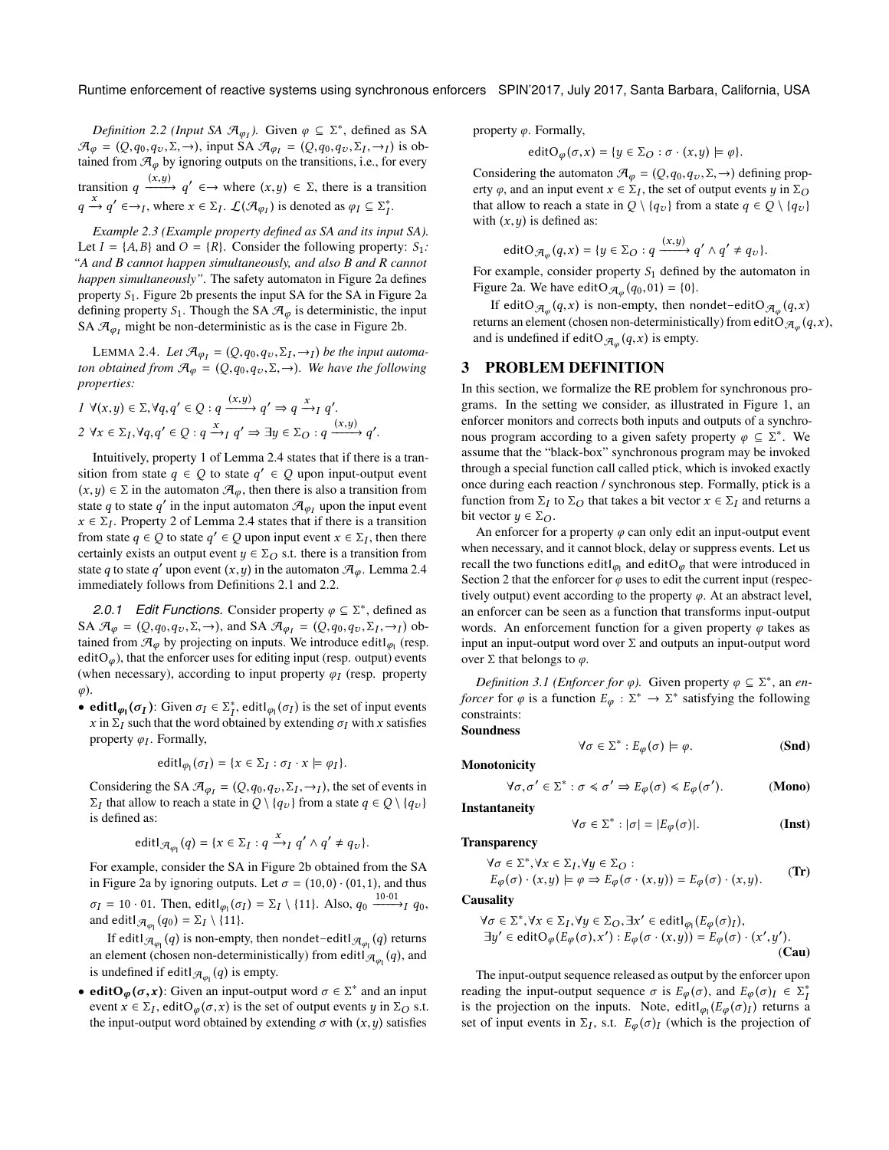<span id="page-2-2"></span>*Definition 2.2 (Input SA*  $\mathcal{A}_{\varphi_I}$ *).* Given  $\varphi \subseteq \Sigma^*$ , defined as SA  $=$  (O  $\varphi \circ \varphi \circ \Sigma \to 0$ ) is ob  $\mathcal{A}_{\varphi} = (Q, q_0, q_v, \Sigma, \rightarrow)$ , input SA  $\mathcal{A}_{\varphi_I} = (Q, q_0, q_v, \Sigma_I, \rightarrow_I)$  is obtained from  $\mathcal{A}_{\varphi}$  by ignoring outputs on the transitions i.e. for every tained from  $\mathcal{A}_{\varphi}$  by ignoring outputs on the transitions, i.e., for every transition  $q \xrightarrow{(x,y)} q' \in \rightarrow$  where  $(x,y) \in \Sigma$ , there is a transition  $q \xrightarrow{x} q' \in \rightarrow_I$ , where  $x \in \Sigma_I$ .  $\mathcal{L}(\mathcal{A}_{\varphi_I})$  is denoted as  $\varphi_I \subseteq \Sigma_I^*$ .

<span id="page-2-8"></span>I *Example 2.3 (Example property defined as SA and its input SA).* Let  $I = \{A, B\}$  and  $O = \{R\}$ . Consider the following property:  $S_1$ *: "A and B cannot happen simultaneously, and also B and R cannot happen simultaneously"*. The safety automaton in Figure [2a](#page-3-0) defines property  $S_1$ . Figure [2b](#page-3-1) presents the input SA for the SA in Figure [2a](#page-3-0) defining property  $S_1$ . Though the SA  $\mathcal{A}_{\varphi}$  is deterministic, the input SA  $\mathcal{A}_{\varphi_I}$  might be non-deterministic as is the case in Figure [2b.](#page-3-1)

<span id="page-2-1"></span>LEMMA 2.4. Let  $\mathcal{A}_{\varphi_I} = (Q, q_0, q_v, \Sigma_I, \rightarrow_I)$  be the input automa-<br>*i* obtained from  $\mathcal{A}_{\varphi_I} = (Q, q_0, q_v, \Sigma_I, \rightarrow_I)$  We have the following *ton obtained from*  $\mathcal{A}_{\varphi} = (Q, q_0, q_\nu, \Sigma, \rightarrow)$ *. We have the following properties:*

$$
1 \ \forall (x, y) \in \Sigma, \forall q, q' \in Q : q \xrightarrow{(x, y)} q' \Rightarrow q \xrightarrow{x} I q'.
$$
  

$$
2 \ \forall x \in \Sigma_I, \forall q, q' \in Q : q \xrightarrow{x} I q' \Rightarrow \exists y \in \Sigma_O : q \xrightarrow{(x, y)} q'.
$$

Intuitively, property 1 of Lemma [2.4](#page-2-1) states that if there is a transition from state  $q \in Q$  to state  $q' \in Q$  upon input-output event  $(x, y) \in \Sigma$  in the automaton  $\mathcal{F}_q$  then there is also a transition from  $(x,y) \in \Sigma$  in the automaton  $\mathcal{A}_{\omega}$ , then there is also a transition from state q to state q' in the input automaton  $\mathcal{A}_{\varphi_I}$  upon the input event  $x \in \Sigma$ . Property 2 of I emma 2.4 states that if there is a transition  $x \in \Sigma_I$ . Property 2 of Lemma [2.4](#page-2-1) states that if there is a transition<br>from state  $a \in \Omega$  to state  $a' \in \Omega$  upon input event  $x \in \Sigma_I$ , then there from state  $q \in Q$  to state  $q' \in Q$  upon input event  $x \in \Sigma_I$ , then there certainly exists an output event  $u \in \Sigma \cap S$  is a transition from certainly exists an output event  $y \in \Sigma_O$  s.t. there is a transition from state q to state q' upon event  $(x, y)$  in the automaton  $\mathcal{A}_{\varphi}$ . Lemma [2.4](#page-2-1)<br>immediately follows from Definitions 2.1 and 2.2 immediately follows from Definitions [2.1](#page-1-0) and [2.2.](#page-2-2)

<span id="page-2-10"></span>2.0.1 Edit Functions. Consider property  $\varphi \subseteq \Sigma^*$ , defined as SA  $\mathcal{A}_{\varphi} = (Q, q_0, q_v, \Sigma, \rightarrow)$ , and SA  $\mathcal{A}_{\varphi_I} = (Q, q_0, q_v, \Sigma_I, \rightarrow_I)$  obtained from  $\mathcal{A}_{\varphi}$  by projecting on inputs. We introduce edit (resp. tained from  $\mathcal{A}_{\varphi}$  by projecting on inputs. We introduce edit $\varphi$ <sub>l</sub> (resp. edit) editO<sub> $\varphi$ </sub>), that the enforcer uses for editing input (resp. output) events (when necessary), according to input property  $\varphi_I$  (resp. property φ).

• edit $\lbrack \phi_1(\sigma_I) \rbrack$ : Given  $\sigma_I \in \sum_I^*$ , edit $\lbrack \phi_1(\sigma_I) \rbrack$  is the set of input events  $\chi$  in  $\sum_I$ , such that the word obtained by extending  $\sigma_X$  with x satisfies  $x$  in  $\Sigma_I$  such that the word obtained by extending  $\sigma_I$  with x satisfies property  $\varphi_I$ . Formally,

$$
\mathsf{editl}_{\varphi_1}(\sigma_I) = \{x \in \Sigma_I : \sigma_I \cdot x \models \varphi_I\}.
$$

Considering the SA  $\mathcal{A}_{\varphi_I} = (Q, q_0, q_v, \Sigma_I, \rightarrow_I)$ , the set of events in  $\Sigma$ , that allow to reach a state in  $Q \setminus \{a_1\}$  from a state  $a \in Q \setminus \{a_1\}$  $\Sigma_I$  that allow to reach a state in  $Q \setminus \{q_v\}$  from a state  $q \in Q \setminus \{q_v\}$ is defined as:

$$
\mathsf{editl}_{\mathcal{A}_{\varphi_1}}(q) = \{x \in \Sigma_I : q \xrightarrow{x} I q' \wedge q' \neq q_v\}.
$$

For example, consider the SA in Figure [2b](#page-3-1) obtained from the SA in Figure [2a](#page-3-0) by ignoring outputs. Let  $\sigma = (10,0) \cdot (01,1)$ , and thus  $\sigma_I = 10 \cdot 01$ . Then, editl<sub> $\varphi_I(\sigma_I) = \Sigma_I \setminus \{11\}$ . Also,  $q_0 \xrightarrow{10 \cdot 01} q_0$ ,</sub> and editl  $\mathcal{A}_{\varphi_1}(q_0) = \Sigma_I \setminus \{11\}.$ 

If editl  $\mathcal{A}_{\varphi_1}(q)$  is non-empty, then nondet-editl  $\mathcal{A}_{\varphi_1}(q)$  returns an element (chosen non-deterministically) from edit $\mathcal{A}_{\varphi_1}(q)$ , and<br>is undefined if editionally is ampty. is undefined if editl  $\mathcal{A}_{\varphi_1}(q)$  is empty.

• editO<sub>φ</sub>( $\sigma$ ,x): Given an input-output word  $\sigma \in \Sigma^*$  and an input<br>event  $x \in \Sigma^*$  editO<sub>t</sub> ( $\sigma$ x) is the set of output events u.in  $\Sigma \circ s$  t event  $x \in \Sigma_I$ , edit $O_\varphi(\sigma, x)$  is the set of output events y in  $\Sigma_O$  s.t.<br>the input-output word obtained by extending  $\sigma$  with  $(x, y)$  satisfies the input-output word obtained by extending  $\sigma$  with  $(x, y)$  satisfies

property  $\varphi$ . Formally,

$$
editO_{\varphi}(\sigma, x) = \{ y \in \Sigma_O : \sigma \cdot (x, y) \models \varphi \}.
$$

Considering the automaton  $\mathcal{A}_{\varphi} = (Q, q_0, q_v, \Sigma, \rightarrow)$  defining prop-<br>erty  $\varphi$  and an input event  $x \in \Sigma_x$  the set of output events  $u$  in  $\Sigma_{\Omega}$ erty  $\varphi$ , and an input event  $x \in \Sigma_I$ , the set of output events y in  $\Sigma_O$ <br>that allow to reach a state in  $O \setminus \{a_1\}$  from a state  $a \in O \setminus \{a_1\}$ that allow to reach a state in  $Q \setminus \{q_v\}$  from a state  $q \in Q \setminus \{q_v\}$ with  $(x, y)$  is defined as:

$$
\text{editO}_{\mathcal{A}_{\varphi}}(q, x) = \{y \in \Sigma_O : q \xrightarrow{(x, y)} q' \wedge q' \neq q_v\}.
$$

For example, consider property  $S_1$  defined by the automaton in<br>Figure 23. We have editO  $\pi_{\epsilon}(q_2, 01) = 10$ Figure [2a.](#page-3-0) We have edit  $\mathcal{A}_{\varphi}(q_0, 01) = \{0\}$ .

If edit $O_{\mathcal{A}_{\varphi}}(q, x)$  is non-empty, then nondet-edit $O_{\mathcal{A}_{\varphi}}(q, x)$ <br>ure an element (chosen non-deterministically) from edit $O_{\mathcal{A}_{\varphi}}(q, x)$ returns an element (chosen non-deterministically) from editO  $\mathcal{A}_{\varphi}(q, x)$ , and is undefined if edit $O_{\mathcal{A}_{\varphi}}(q,x)$  is empty.

## <span id="page-2-0"></span>3 PROBLEM DEFINITION

In this section, we formalize the RE problem for synchronous programs. In the setting we consider, as illustrated in Figure [1,](#page-0-0) an enforcer monitors and corrects both inputs and outputs of a synchronous program according to a given safety property  $\varphi \subseteq \Sigma^*$ . We assume that the "black-box" synchronous program may be invoked assume that the "black-box" synchronous program may be invoked through a special function call called ptick, which is invoked exactly once during each reaction / synchronous step. Formally, ptick is a function from  $\Sigma_I$  to  $\Sigma_O$  that takes a bit vector  $x \in \Sigma_I$  and returns a bit vector  $u \in \Sigma_O$ bit vector  $y \in \Sigma_O$ .

An enforcer for a property  $\varphi$  can only edit an input-output event when necessary, and it cannot block, delay or suppress events. Let us recall the two functions edit $\mu_{\rho_1}$  and editO<sub> $\varphi$ </sub> that were introduced in<br>Section 2 that the enforcer for a uses to edit the current input (respectively) Section [2](#page-1-1) that the enforcer for  $\varphi$  uses to edit the current input (respectively output) event according to the property  $\varphi$ . At an abstract level, an enforcer can be seen as a function that transforms input-output words. An enforcement function for a given property  $\varphi$  takes as input an input-output word over  $\Sigma$  and outputs an input-output word over Σ that belongs to  $\varphi$ .

<span id="page-2-9"></span>*Definition 3.1 (Enforcer for*  $\varphi$ *).* Given property  $\varphi \subseteq \Sigma^*$ , an *en-*<br>*cer* for  $\varphi$  is a function  $F \to \Sigma^* \to \Sigma^*$  satisfying the following *forcer* for  $\varphi$  is a function  $E_{\varphi} : \Sigma^* \to \Sigma^*$  satisfying the following constraints: constraints:

Soundness

$$
\forall \sigma \in \Sigma^* : E_{\varphi}(\sigma) \models \varphi. \tag{Snd}
$$

<span id="page-2-7"></span><span id="page-2-6"></span><span id="page-2-5"></span><span id="page-2-4"></span><span id="page-2-3"></span>). (Mono)

Instantaneity

**Monotonicity** 

$$
\forall \sigma, \sigma' \in \Sigma^* : \sigma \leq \sigma' \Rightarrow E_{\varphi}(\sigma) \leq E_{\varphi}(\sigma'). \tag{Mono}
$$

$$
\forall \sigma \in \Sigma^* : |\sigma| = |E_{\varphi}(\sigma)|. \tag{Inst}
$$

**Transparency** 

$$
\forall \sigma \in \Sigma^*, \forall x \in \Sigma_I, \forall y \in \Sigma_O :
$$
  
\n
$$
E_{\varphi}(\sigma) \cdot (x, y) \models \varphi \Rightarrow E_{\varphi}(\sigma \cdot (x, y)) = E_{\varphi}(\sigma) \cdot (x, y).
$$
 (Tr)

**Causality** 

$$
\forall \sigma \in \Sigma^*, \forall x \in \Sigma_I, \forall y \in \Sigma_O, \exists x' \in editl_{\varphi_1}(E_{\varphi}(\sigma)_I),
$$
  
\n
$$
\exists y' \in editO_{\varphi}(E_{\varphi}(\sigma), x') : E_{\varphi}(\sigma \cdot (x, y)) = E_{\varphi}(\sigma) \cdot (x', y').
$$
\n(Cau)

The input-output sequence released as output by the enforcer upon reading the input-output sequence  $\sigma$  is  $E_{\varphi}(\sigma)$ , and  $E_{\varphi}(\sigma)_{I} \in \sum_{i=1}^{k}$ <br>is the projection on the inputs. Note editl  $(E_{\varphi}(\sigma))$  returns a is the projection on the inputs. Note, editl<sub> $\varphi_1(E_{\varphi}(\sigma))$ </sub> returns a<br>set of input events in  $\Sigma_{\Sigma}$  s t. E. ( $\sigma$ ), (which is the projection of set of input events in  $\Sigma_I$ , s.t.  $E_\varphi(\sigma)_I$  (which is the projection of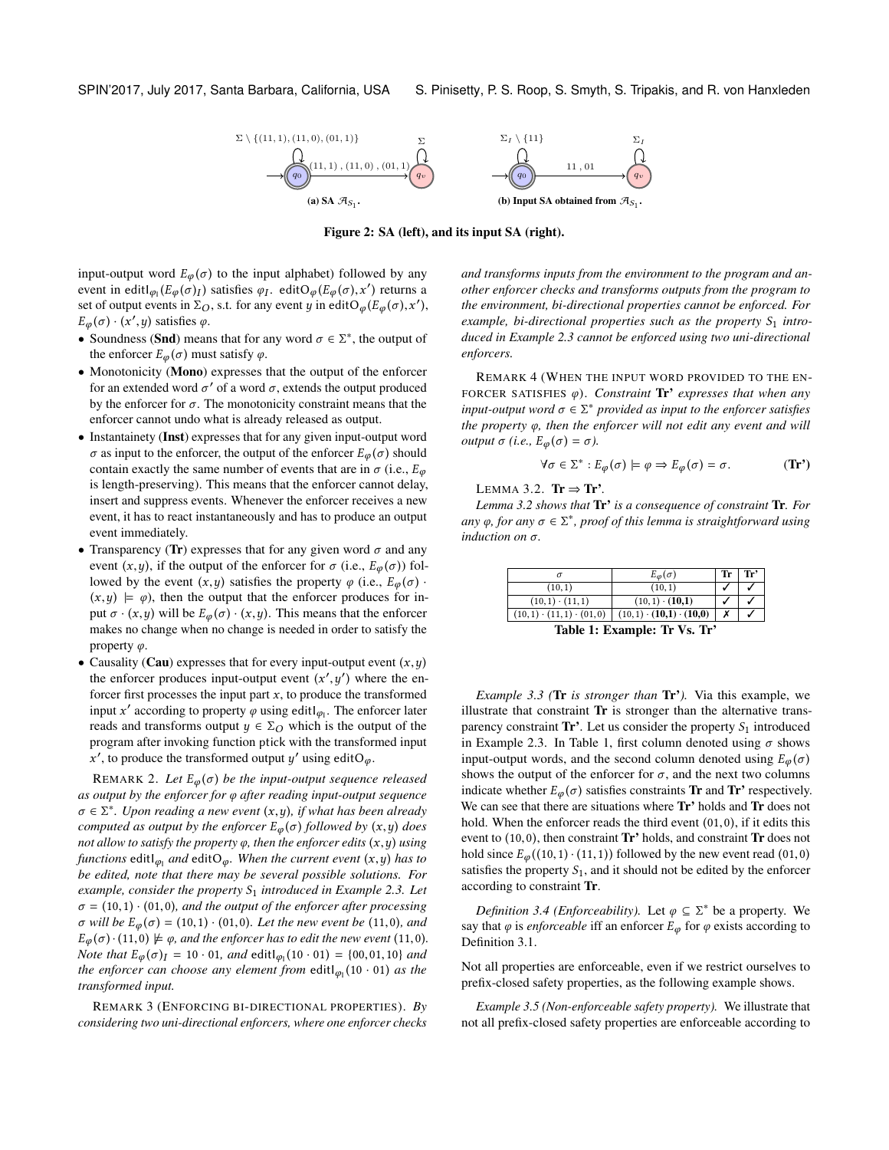<span id="page-3-0"></span>

Figure 2: SA (left), and its input SA (right).

input-output word  $E_{\varphi}(\sigma)$  to the input alphabet) followed by any event in edit $\left[ \varphi_1(E_{\varphi}(\sigma)) \right]$  satisfies  $\varphi_1$ . edit $O_{\varphi}(E_{\varphi}(\sigma), x')$  returns a set of output events in  $\Sigma \circ s$ , if for any event u.in edit $O_{\varphi}(E_{\varphi}(\sigma), x')$ set of output events in  $\Sigma_O$ , s.t. for any event y in editO<sub> $\varphi$ </sub> $(E_{\varphi}(\sigma), x')$ ,<br> $E_{\varphi}(\sigma), (x', u)$  satisfies  $\varphi$  $E_{\varphi}(\sigma) \cdot (x', y)$  satisfies  $\varphi$ .

- Soundness ([Snd](#page-2-3)) means that for any word  $\sigma \in \Sigma^*$ , the output of the enforcer  $F(\sigma)$  must satisfy  $\sigma$ the enforcer  $E_{\varphi}(\sigma)$  must satisfy  $\varphi$ .
- [Mono](#page-2-4)tonicity (Mono) expresses that the output of the enforcer for an extended word  $\sigma'$  of a word  $\sigma$ , extends the output produced<br>by the enforcer for  $\sigma$ . The monotonicity constraint means that the by the enforcer for  $\sigma$ . The monotonicity constraint means that the enforcer cannot undo what is already released as output.
- [Inst](#page-2-5)antainety (Inst) expresses that for any given input-output word  $\sigma$  as input to the enforcer, the output of the enforcer  $E_{\varphi}(\sigma)$  should contain exactly the same number of events that are in  $\sigma$  (i.e.,  $E_{\varphi}$ ) is length-preserving). This means that the enforcer cannot delay, insert and suppress events. Whenever the enforcer receives a new event, it has to react instantaneously and has to produce an output event immediately.
- [Tr](#page-2-6)ansparency (Tr) expresses that for any given word  $\sigma$  and any event  $(x, y)$ , if the output of the enforcer for  $\sigma$  (i.e.,  $E_{\varphi}(\sigma)$ ) followed by the event  $(x, y)$  satisfies the property  $\varphi$  (i.e.,  $E_{\varphi}(\sigma)$ .  $(x, y) \models \varphi$ , then the output that the enforcer produces for input  $\sigma \cdot (x, y)$  will be  $E_{\varphi}(\sigma) \cdot (x, y)$ . This means that the enforcer makes no change when no change is needed in order to satisfy the property  $\varphi$ .
- [Cau](#page-2-7)sality (Cau) expresses that for every input-output event  $(x, y)$ the enforcer produces input-output event  $(x', y')$  where the en-<br>forcer first processes the input part x, to produce the transformed forcer first processes the input part x, to produce the transformed<br>input  $x'$  according to property a using edit. The enforcer later input x' according to property  $\varphi$  using edit $I_{\varphi_1}$ . The enforcer later reads and transforms output  $y \in \Sigma_O$  which is the output of the program after invoking function ptick with the transformed input ', to produce the transformed output y' using editO<sub> $\varphi$ </sub>.

<span id="page-3-5"></span>x REMARK 2. *Let*  $E_{\varphi}(\sigma)$  *be the input-output sequence released as output by the enforcer for* φ *after reading input-output sequence*  $\sigma \in \Sigma^*$ *. Upon reading a new event*  $(x, y)$ *, if what has been already*<br>computed as output by the enforcer  $F(\sigma)$  followed by  $(x, y)$  does *computed as output by the enforcer*  $E_{\varphi}(\sigma)$  *followed by*  $(x, y)$  *does not allow to satisfy the property* φ*, then the enforcer edits* (x,y) *using functions* editl<sub> $\varphi_1$ </sub> and editO<sub> $\varphi$ </sub>. When the current event  $(x, y)$  has to be edited note that there may be several possible solutions. For *be edited, note that there may be several possible solutions. For example, consider the property*  $S_1$  *introduced in Example* [2.3.](#page-2-8) Let  $\sigma = (10,1) \cdot (01,0)$ *, and the output of the enforcer after processing* <sup>σ</sup> *will be* <sup>E</sup>φ (<sup>σ</sup> ) <sup>=</sup> (10,1) · (01,0)*. Let the new event be* (11,0)*, and*  $E_{\varphi}(\sigma) \cdot (11,0) \not\models \varphi$ , and the enforcer has to edit the new event (11,0). *Note that*  $E_{\varphi}(\sigma)I = 10 \cdot 01$ *, and* edit $\varphi_1(10 \cdot 01) = \{00, 01, 10\}$  *and* the enforcer can choose any element from edit (10, 01) as the *the enforcer can choose any element from*  $editl_{\varphi_1}(10 \cdot 01)$  *as the*<br>transformed input *transformed input.*

REMARK 3 (ENFORCING BI-DIRECTIONAL PROPERTIES). *By considering two uni-directional enforcers, where one enforcer checks*

<span id="page-3-1"></span>*and transforms inputs from the environment to the program and another enforcer checks and transforms outputs from the program to the environment, bi-directional properties cannot be enforced. For* example, bi-directional properties such as the property  $S_1$  intro*duced in Example [2.3](#page-2-8) cannot be enforced using two uni-directional enforcers.*

REMARK 4 (WHEN THE INPUT WORD PROVIDED TO THE EN-FORCER SATISFIES φ). *Constraint* [Tr'](#page-3-2) *expresses that when any input-output word*  $\sigma \in \Sigma^*$  *provided as input to the enforcer satisfies*<br>*the property*  $\sigma$ *, then the enforcer will not edit any event and will the property* φ*, then the enforcer will not edit any event and will output*  $\sigma$  *(i.e.,*  $E_{\varphi}(\sigma) = \sigma$ *).* 

<span id="page-3-2"></span>
$$
\forall \sigma \in \Sigma^* : E_{\varphi}(\sigma) \models \varphi \Rightarrow E_{\varphi}(\sigma) = \sigma.
$$
 (Tr')

<span id="page-3-3"></span>LEMMA 3.2.  $Tr \Rightarrow Tr'$  $Tr \Rightarrow Tr'$  $Tr \Rightarrow Tr'$ .

*Lemma [3.2](#page-3-3) shows that* [Tr'](#page-3-2) *is a consequence of constraint* [Tr](#page-2-6)*. For*  $any \varphi$ , for any  $\sigma \in \Sigma^*$ , proof of this lemma is straightforward using<br>*induction* on  $\sigma$ *induction on* σ*.*

<span id="page-3-4"></span>

|                                                                       | $E_{\omega}(\sigma)$  | Tr | Tr' |  |  |  |
|-----------------------------------------------------------------------|-----------------------|----|-----|--|--|--|
| (10,1)                                                                | (10, 1)               |    |     |  |  |  |
| $(10,1) \cdot (11,1)$                                                 | $(10,1) \cdot (10,1)$ |    |     |  |  |  |
| $(10,1) \cdot (11,1) \cdot (01,0)$ $(10,1) \cdot (10,1) \cdot (10,0)$ |                       |    |     |  |  |  |
| Tahle 1: Fvamnle: Tr Vs Tr'                                           |                       |    |     |  |  |  |

Table 1: Example: [Tr](#page-2-6) Vs. [Tr'](#page-3-2)

*Example 3.3 (*[Tr](#page-2-6) *is stronger than* [Tr'](#page-3-2)*).* Via this example, we illustrate that constraint [Tr](#page-2-6) is stronger than the alternative transparency constraint  $\text{Tr}^{\prime}$ . Let us consider the property  $S_1$  introduced in Example [2.3.](#page-2-8) In Table [1,](#page-3-4) first column denoted using  $\sigma$  shows input-output words, and the second column denoted using  $E_{\varphi}(\sigma)$ shows the output of the enforcer for  $\sigma$ , and the next two columns indicate whether  $E_{\varphi}(\sigma)$  satisfies constraints **[Tr](#page-2-6)** and **Tr**' respectively. We can see that there are situations where  $Tr'$  holds and  $Tr$  does not hold. When the enforcer reads the third event (01,0), if it edits this event to (10,0), then constraint [Tr'](#page-3-2) holds, and constraint [Tr](#page-2-6) does not hold since  $E_{\varphi}((10,1)\cdot(11,1))$  followed by the new event read (01,0) satisfies the property  $S_1$ , and it should not be edited by the enforcer according to constraint [Tr](#page-2-6).

*Definition 3.4 (Enforceability).* Let  $\varphi \subseteq \Sigma^*$  be a property. We that  $\varphi$  is enforceable iff an enforcer  $E$ , for  $\varphi$  exists according to say that  $\varphi$  is *enforceable* iff an enforcer  $E_{\varphi}$  for  $\varphi$  exists according to Definition [3.1.](#page-2-9)

Not all properties are enforceable, even if we restrict ourselves to prefix-closed safety properties, as the following example shows.

*Example 3.5 (Non-enforceable safety property).* We illustrate that not all prefix-closed safety properties are enforceable according to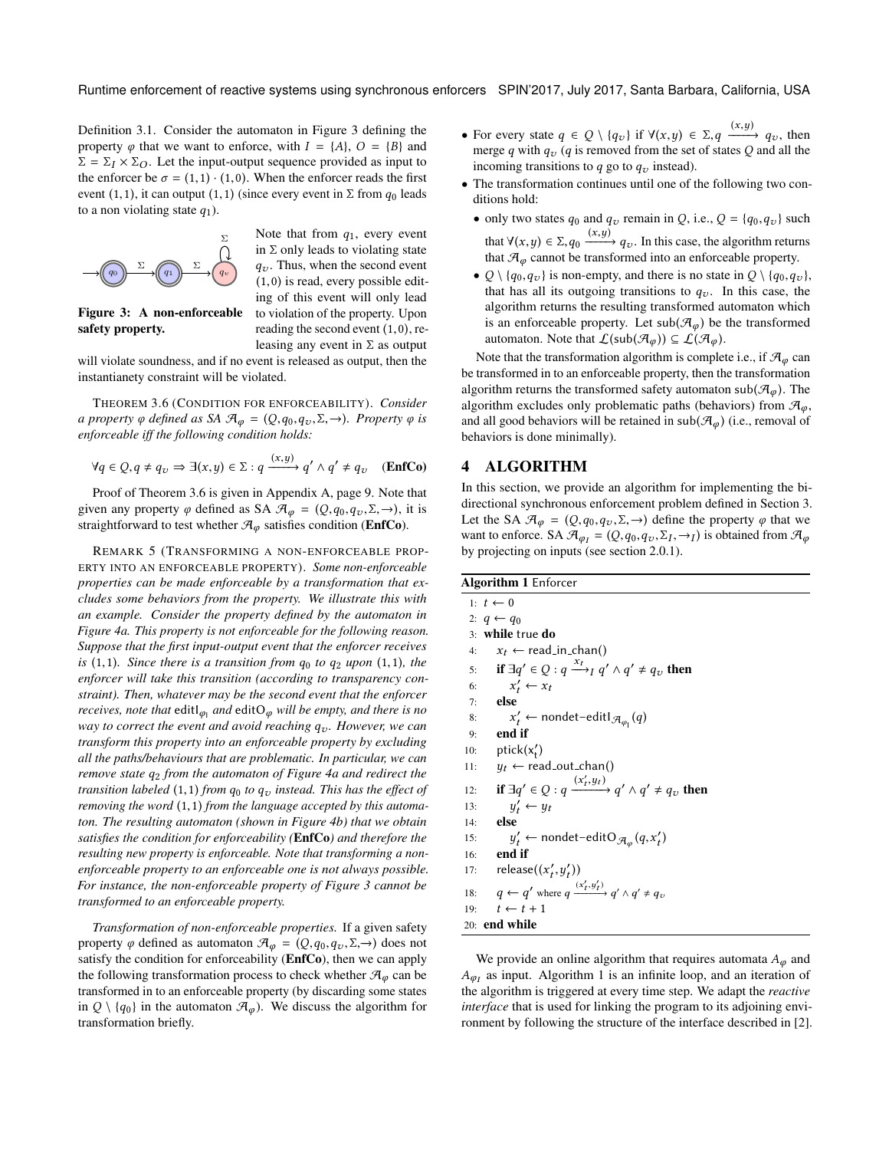Definition [3.1.](#page-2-9) Consider the automaton in Figure [3](#page-4-1) defining the property  $\varphi$  that we want to enforce, with  $I = \{A\}$ ,  $O = \{B\}$  and  $\Sigma = \Sigma_I \times \Sigma_O$ . Let the input-output sequence provided as input to the enforcer be  $\sigma = (1,1) \cdot (1,0)$ . When the enforcer reads the first event (1,1), it can output (1,1) (since every event in  $\Sigma$  from  $q_0$  leads to a non violating state  $q_1$ ).

<span id="page-4-1"></span>

Figure 3: A non-enforceable

safety property.

Note that from  $q_1$ , every event in  $\Sigma$  only leads to violating state  $q_v$ . Thus, when the second event (1,0) is read, every possible editing of this event will only lead to violation of the property. Upon reading the second event (1,0), releasing any event in  $\Sigma$  as output

will violate soundness, and if no event is released as output, then the instantianety constraint will be violated.

<span id="page-4-2"></span>THEOREM 3.6 (CONDITION FOR ENFORCEABILITY). *Consider a property*  $\varphi$  *defined as SA*  $\mathcal{A}_{\varphi} = (Q, q_0, q_\nu, \Sigma, \rightarrow)$ *. Property*  $\varphi$  *is enforceable iff the following condition holds:*

$$
\forall q \in Q, q \neq q_{\upsilon} \Rightarrow \exists (x, y) \in \Sigma : q \xrightarrow{(x, y)} q' \land q' \neq q_{\upsilon} \quad (\text{EnfCo})
$$

Proof of Theorem [3.6](#page-4-2) is given in Appendix [A,](#page-8-0) page [9.](#page-8-0) Note that given any property  $\varphi$  defined as SA  $\mathcal{A}_{\varphi} = (Q, q_0, q_v, \Sigma, \rightarrow)$ , it is straightforward to test whether  $\mathcal{A}_{\varphi}$  satisfies condition ([EnfCo](#page-4-3)).

REMARK 5 (TRANSFORMING A NON-ENFORCEABLE PROP-ERTY INTO AN ENFORCEABLE PROPERTY). *Some non-enforceable properties can be made enforceable by a transformation that excludes some behaviors from the property. We illustrate this with an example. Consider the property defined by the automaton in Figure [4a.](#page-5-0) This property is not enforceable for the following reason. Suppose that the first input-output event that the enforcer receives*  $i$ s (1,1)*.* Since there is a transition from  $q_0$  to  $q_2$  upon (1,1)*,* the *enforcer will take this transition (according to transparency constraint). Then, whatever may be the second event that the enforcer receives, note that*  $\text{edit}\varphi_1$  and  $\text{edit}\varphi_2$  will be empty, and there is no<br>way to correct the event and avoid reaching a . However we can *way to correct the event and avoid reaching*  $q_v$ *. However, we can transform this property into an enforceable property by excluding all the paths/behaviours that are problematic. In particular, we can remove state*  $q_2$  *from the automaton of Figure [4a](#page-5-0) and redirect the transition labeled*  $(1,1)$  *from*  $q_0$  *to*  $q_v$  *instead. This has the effect of removing the word* (1,1) *from the language accepted by this automaton. The resulting automaton (shown in Figure [4b\)](#page-5-1) that we obtain satisfies the condition for enforceability (*[EnfCo](#page-4-3)*) and therefore the resulting new property is enforceable. Note that transforming a nonenforceable property to an enforceable one is not always possible. For instance, the non-enforceable property of Figure [3](#page-4-1) cannot be transformed to an enforceable property.*

*Transformation of non-enforceable properties.* If a given safety property  $\varphi$  defined as automaton  $\mathcal{A}_{\varphi} = (Q, q_0, q_\nu, \Sigma, \rightarrow)$  does not satisfy the condition for enforceability ([EnfCo](#page-4-3)), then we can apply the following transformation process to check whether  $\mathcal{A}_{\varphi}$  can be transformed in to an enforceable property (by discarding some states in  $Q \setminus \{q_0\}$  in the automaton  $\mathcal{A}_{\varphi}$ ). We discuss the algorithm for transformation briefly.

- For every state  $q \in Q \setminus \{q_v\}$  if  $\forall (x, y) \in \Sigma, q \xrightarrow{(x,y)} q_v$ , then merge q with q (q is removed from the set of states Q and all the merge q with  $q_v$  (q is removed from the set of states Q and all the incoming transitions to  $q$  go to  $q_v$  instead).
- The transformation continues until one of the following two conditions hold:
	- only two states  $q_0$  and  $q_v$  remain in Q, i.e.,  $Q = \{q_0, q_v\}$  such that  $\forall (x, y) \in \Sigma, q_0 \xrightarrow{(x, y)} q_v$ . In this case, the algorithm returns that  $\mathcal{F}_v$  cannot be transformed into an enforceable property that  $\mathcal{A}_{\varphi}$  cannot be transformed into an enforceable property.
	- $Q \setminus \{q_0, q_v\}$  is non-empty, and there is no state in  $Q \setminus \{q_0, q_v\}$ , that has all its outgoing transitions to  $q_v$ . In this case, the algorithm returns the resulting transformed automaton which is an enforceable property. Let sub $(\mathcal{A}_{\varphi})$  be the transformed automaton. Note that  $\mathcal{L}(sub(\mathcal{A}_{\varphi})) \subseteq \mathcal{L}(\mathcal{A}_{\varphi}).$

Note that the transformation algorithm is complete i.e., if  $\mathcal{A}_{\varphi}$  can be transformed in to an enforceable property, then the transformation algorithm returns the transformed safety automaton sub( $\mathcal{A}_{\varphi}$ ). The algorithm excludes only problematic paths (behaviors) from  $\mathcal{A}_{\varphi}$ , and all good behaviors will be retained in sub $(\mathcal{A}_{\omega})$  (i.e., removal of behaviors is done minimally).

### <span id="page-4-3"></span><span id="page-4-0"></span>4 ALGORITHM

In this section, we provide an algorithm for implementing the bidirectional synchronous enforcement problem defined in Section [3.](#page-2-0) Let the SA  $\mathcal{A}_{\varphi} = (Q, q_0, q_v, \Sigma, \rightarrow)$  define the property  $\varphi$  that we want to enforce. SA  $\mathcal{A}_{\varphi I} = (Q, q_0, q_v, \Sigma_I, \rightarrow_I)$  is obtained from  $\mathcal{A}_{\varphi}$ <br>by projecting on inputs (see section 2.0.1) by projecting on inputs (see section [2.0.1\)](#page-2-10).

#### <span id="page-4-4"></span>Algorithm 1 Enforcer

<span id="page-4-10"></span><span id="page-4-8"></span><span id="page-4-6"></span>1:  $t \leftarrow 0$ 2:  $q \leftarrow q_0$ 3: while true do 4:  $x_t \leftarrow \text{read_in-chain}()$ <br>5: **if**  $\exists q' \in O : q \xrightarrow{x_t} q'$ 5: if  $\exists q' \in Q : q \xrightarrow{x_t} q' \wedge q' \neq q_v$  then 6: *x*<br>7: **else**  $\overline{t}_t \leftarrow x_t$ 8:  $x'_t$  (8)  $x'_t$  $\mathcal{C}_t' \leftarrow$  nondet–editl $\mathcal{A}_{\varphi_1}(q)$ 10:  $ptick(x'_t)$ 11:  $y_t \leftarrow \text{read-out-chain()}$ <br>12: **if**  $\exists q' \in Q : q \xrightarrow{(x'_t, y_t)}$ 12: **if**  $\exists q' \in Q : q \xrightarrow{(x'_t)}$  $\xrightarrow{(x'_t, y_t)} q' \wedge q' \neq q_v$  then 13:  $y$ <br>14: **else**  $\vec{y}_t \leftarrow y_t$ 15:  $y'_t$   $\stackrel{\frown}{ }$ <br>16: **end if**  $\mathcal{C}_t' \leftarrow$  nondet-editO $\mathcal{A}_{\varphi}(q, x_t')$ 17: release $((x_t', y_t'))$ 18:  $q \leftarrow q'$  where  $q \frac{(x'_t + y_0)}{q}$  $\frac{y}{t}, y'_t$  $\xrightarrow{(x'_t, y'_t)} q' \wedge q' \neq q_v$ 19:  $t \leftarrow t + 1$ <br>20: **end while** 

<span id="page-4-9"></span><span id="page-4-7"></span><span id="page-4-5"></span>We provide an online algorithm that requires automata  $A_{\varphi}$  and AφI the algorithm is triggered at every time step. We adapt the *reactive*  $A_{\varphi_I}$  as input. Algorithm [1](#page-4-4) is an infinite loop, and an iteration of *interface* that is used for linking the program to its adjoining environment by following the structure of the interface described in [\[2\]](#page-7-11).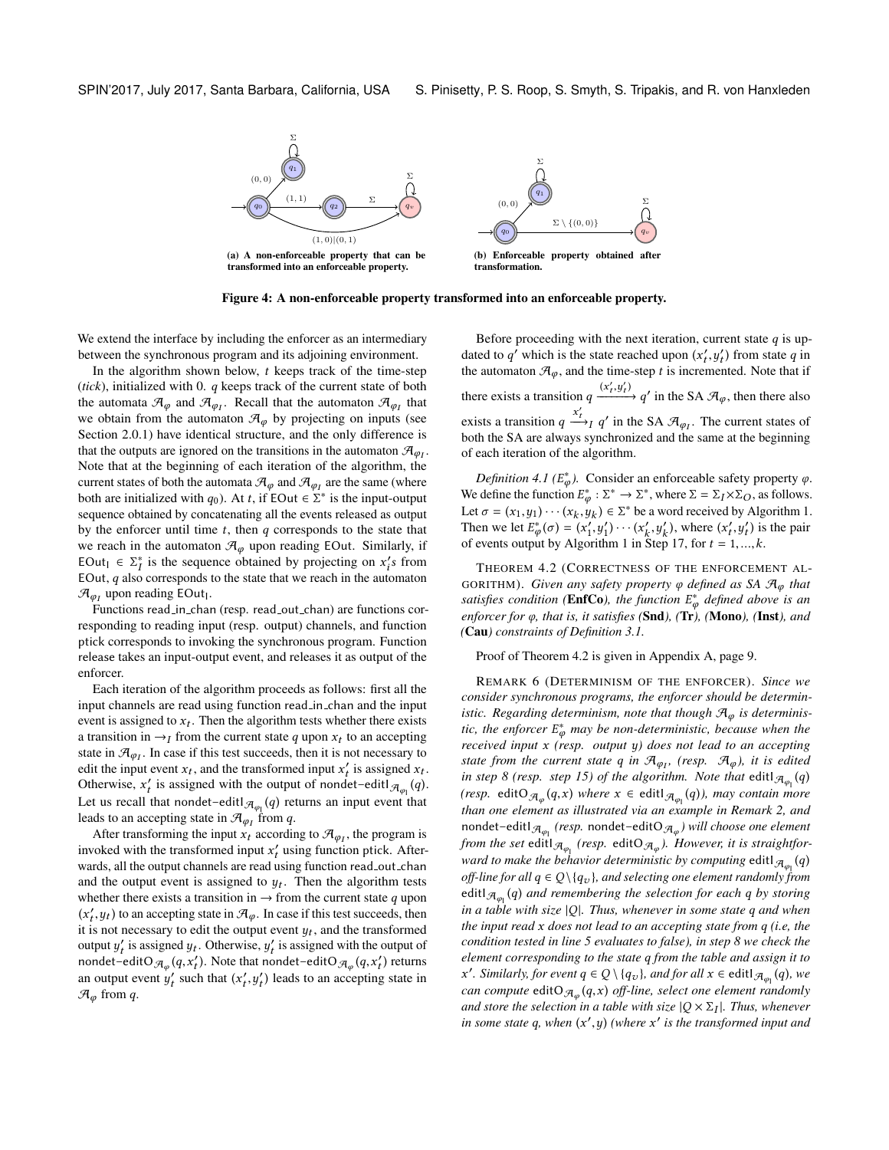<span id="page-5-0"></span>

Figure 4: A non-enforceable property transformed into an enforceable property.

We extend the interface by including the enforcer as an intermediary between the synchronous program and its adjoining environment.

In the algorithm shown below,  $t$  keeps track of the time-step (*tick*), initialized with 0. q keeps track of the current state of both the automata  $\mathcal{A}_{\varphi}$  and  $\mathcal{A}_{\varphi_I}$ . Recall that the automaton  $\mathcal{A}_{\varphi_I}$  that we obtain from the automaton  $\mathcal{A}_{\varphi_I}$  by projecting on inputs (see we obtain from the automaton  $\mathcal{A}_{\varphi}$  by projecting on inputs (see Section [2.0.1\)](#page-2-10) have identical structure, and the only difference is that the outputs are ignored on the transitions in the automaton  $\mathcal{A}_{\varphi I}$ .<br>Note that at the beginning of each iteration of the algorithm, the Note that at the beginning of each iteration of the algorithm, the current states of both the automata  $\mathcal{A}_{\varphi}$  and  $\mathcal{A}_{\varphi}$  are the same (where<br>both are initialized with  $\alpha_0$ ). At t if  $EOut \subseteq \sum_{i=1}^{\infty}$  is the input output both are initialized with  $q_0$ ). At t, if EOut  $\in \Sigma^*$  is the input-output sequence obtained by concatenating all the events released as output sequence obtained by concatenating all the events released as output by the enforcer until time  $t$ , then  $q$  corresponds to the state that we reach in the automaton  $\mathcal{A}_{\varphi}$  upon reading EOut. Similarly, if EOut  $\epsilon \geq \frac{1}{\epsilon}$  is the sequence obtained by projecting on  $x'_i s$  from<br>EOut *a* also corresponds to the state that we reach in the automator EOut, q also corresponds to the state that we reach in the automaton  $\mathcal{F}_{\text{other}}$  $\mathcal{A}_{\varphi_I}$  upon reading EOut<sub>1</sub>.<br>Eunctions road in chair

Functions read\_in\_chan (resp. read\_out\_chan) are functions corresponding to reading input (resp. output) channels, and function ptick corresponds to invoking the synchronous program. Function release takes an input-output event, and releases it as output of the enforcer.

Each iteration of the algorithm proceeds as follows: first all the input channels are read using function read in chan and the input event is assigned to  $x_t$ . Then the algorithm tests whether there exists<br>a transition in  $\rightarrow x$  from the current state q upon  $x_t$  to an accepting a transition in  $\rightarrow$ I from the current state q upon  $x_t$  to an accepting<br>state in  $\mathcal{F}$  . In case if this test succeeds, then it is not necessary to state in  $\mathcal{A}_{\varphi_I}$ . In case if this test succeeds, then it is not necessary to edit the input event  $x_i$ , and the transformed input  $x'$  is assigned  $x_i$ . edit the input event  $x_t$ , and the transformed input  $x_t'$  is assigned  $x_t$ .<br>Otherwise  $x_t'$  is assigned with the output of pondat-editl  $x_t(a)$ . Otherwise,  $x'_t$  is assigned with the output of nondet–editI $\mathcal{A}_{\varphi_1}(q)$ . Let us recall that nondet–edit $\mathcal{A}_{\varphi_1}(q)$  returns an input event that leads to an accepting state in  $\mathcal{A}_{\varphi_I}$  from q.<br>After transforming the input x, according

After transforming the input  $x_t$  according to  $\mathcal{A}_{\varphi_I}$ , the program is solved with the transformed input  $x'$  using function ptick. After invoked with the transformed input  $x'_t$  using function ptick. After-<br>wards all the output channels are read using function read out chan wards, all the output channels are read using function read\_out\_chan and the output event is assigned to  $y_t$ . Then the algorithm tests<br>whether there exists a transition in  $\rightarrow$  from the current state a upon whether there exists a transition in  $\rightarrow$  from the current state q upon  $(x'_t, y_t)$  to an accepting state in  $\mathcal{A}_{\varphi}$ . In case if this test succeeds, then<br>it is not necessary to edit the output event  $u_t$ , and the transformed  $x_i$  is not necessary to edit the output event  $y_t$ , and the transformed<br>tit is not necessary to edit the output event  $y_t$ , and the transformed output  $y'_t$  is assigned  $y_t$ . Otherwise,  $y'_t$  is assigned with the output of pondat-editO  $\pi$ ,  $(g, x')$  returns nondet–editO $\mathcal{A}_{\varphi}(q, x_t)$ . Note that nondet–editO $\mathcal{A}_{\varphi}(q, x_t')$  returns an output event  $y'_t$  such that  $(x'_t, y'_t)$  leads to an accepting  $\mathcal{F}_t$  from a  $, y$  $\chi$ ) leads to an accepting state in  $\mathcal{A}_{\varphi}$  from q.

<span id="page-5-1"></span>Before proceeding with the next iteration, current state  $q$  is updated to  $q'$  which is the state reached upon  $(x'_t, y'_t)$  from state q in<br>the automaton  $\mathcal{F}_t$  and the time-stap t is incremented. Note that if the automaton  $\mathcal{A}_{\varphi}$ , and the time-step t is incremented. Note that if there exists a transition  $q \frac{(x'_l + x'_l)(x'_l + x'_l)}{x'_l}$  $\frac{y'_t}{y'_t}$  $\overrightarrow{(x'_t, y'_t)}$   $q'$  in the SA  $\mathcal{A}_{\varphi}$ , then there also exists a transition  $q \frac{x'_t}{x_t}$  $\frac{x_t}{y}$  q' in the SA  $\mathcal{A}_{\varphi_I}$ . The current states of both the SA are always synchronized and the same at the beginning of each iteration of the algorithm.

<span id="page-5-3"></span>*Definition 4.1* ( $E^*_{\varphi}$ ). Consider an enforceable safety property  $\varphi$ . We define the function  $E^*_\varphi : \Sigma^* \to \Sigma^*$ , where  $\Sigma = \Sigma_I \times \Sigma_O$ , as follows. Let  $\sigma = (x_1, y_1) \cdots (x_k, y_k) \in \Sigma^*$  be a word received by Algorithm [1.](#page-4-4)<br>Then we let  $F^*(\sigma) = (x', y') \cdots (x', y')$  where  $(x', y')$  is the pair Then we let  $E^*_{\phi}(\sigma) = (x'_1, y'_1) \cdots (x'_k, y'_k)$ , where  $(x'_k, y'_k)$  is the pair of events output by Algorithm [1](#page-4-4) in Step [17,](#page-4-5) for  $t = 1, ..., k$ .

<span id="page-5-2"></span>THEOREM 4.2 (CORRECTNESS OF THE ENFORCEMENT AL-GORITHM). *Given any safety property* <sup>φ</sup> *defined as SA* <sup>A</sup>φ *that satisfies condition ([EnfCo](#page-4-3)), the function*  $E^*_{\varphi}$  *defined above is an enforcer for*  $\varphi$  *that is it satisfies (Snd)* (Tr) (Mono) (Inst) and *enforcer for* φ*, that is, it satisfies (*[Snd](#page-2-3)*), (*[Tr](#page-2-6)*), (*[Mono](#page-2-4)*), (*[Inst](#page-2-5)*), and (*[Cau](#page-2-7)*) constraints of Definition [3.1.](#page-2-9)*

Proof of Theorem [4.2](#page-5-2) is given in Appendix [A,](#page-8-0) page [9.](#page-8-0)

REMARK 6 (DETERMINISM OF THE ENFORCER). *Since we consider synchronous programs, the enforcer should be deterministic. Regarding determinism, note that though*  $\mathcal{A}_{\varphi}$  *is deterministic, the enforcer*  $E^*_{\varphi}$  may be non-deterministic, because when the received input x (resp. output u) does not lead to an accepting *received input* x *(resp. output* y*) does not lead to an accepting state from the current state* q *in*  $\mathcal{A}_{\varphi_1}$ , (resp.  $\mathcal{A}_{\varphi}$ ), *it is edited in step 8 (resp. step 15)* of the algorithm. Note that editl  $\pi$ , (a) *in step* [8](#page-4-6) (resp. step [15\)](#page-4-7) of the algorithm. Note that  $\text{edit1}_{\mathcal{A}_{\varphi_1}}(q)$ <br>(geep odit) = (a,x) where x 6 odit) = (a)) way contain word *(resp.* editO $\mathcal{A}_{\varphi}(q, x)$  *where*  $x \in$  editI $\mathcal{A}_{\varphi_1}(q)$ *), may contain more*<br>*than* one element as illustrated via an axample in Pamark 2, and *than one element as illustrated via an example in Remark [2,](#page-3-5) and*  $\mathsf{nondet-editl}_{\mathcal{A}_{\varphi_1}}$  *(resp.* nondet–edit $\mathsf{O}_{\mathcal{A}_{\varphi}}$ ) will choose one element *from the set* edit $|A_{\varphi_1}(resp. \text{edit} \Theta_{\varphi_0})$ . However, it is straightfor*ward to make the behavior deterministic by computing edit*  $\mathcal{A}_{\varphi_1}(q)$ <br>off line for all  $q \in \Omega \setminus \{q\}$ , and selecting one element randomly from *off-line for all*  $q \in Q \setminus \{q_v\}$ *, and selecting one element randomly from* editl $\mathcal{A}_{\varphi_1}(q)$  and remembering the selection for each q by storing<br>in a table with size  $|0|$ . Thus whenever in some state a and when *in a table with size* <sup>|</sup>Q|*. Thus, whenever in some state* q *and when the input read* x *does not lead to an accepting state from* q *(i.e, the condition tested in line [5](#page-4-8) evaluates to false), in step [8](#page-4-6) we check the element corresponding to the state* q *from the table and assign it to can compute* editO $\mathcal{A}_{\varphi}$  ( $\mathcal{A}$ x) *off-line, select one element randomly*<br>and stars the selection in a table with size  $|O \times \Sigma|$ . Thus whenever *o*. Similarly, for event  $q \in Q \setminus \{q_v\}$ , and for all  $x \in \text{edit} \cup \mathcal{A}_{\varphi_1}(q)$ , we are assumed adit  $Q \setminus \{q_v\}$  of line, as least one algoret use down *and store the selection in a table with size*  $|Q \times \Sigma_I|$ *. Thus, whenever* in some state a when  $(x', y)$  (where  $x'$  is the transformed input and *in some state*  $q$ *, when*  $(x', y)$  *(where*  $x'$  *is the transformed input and*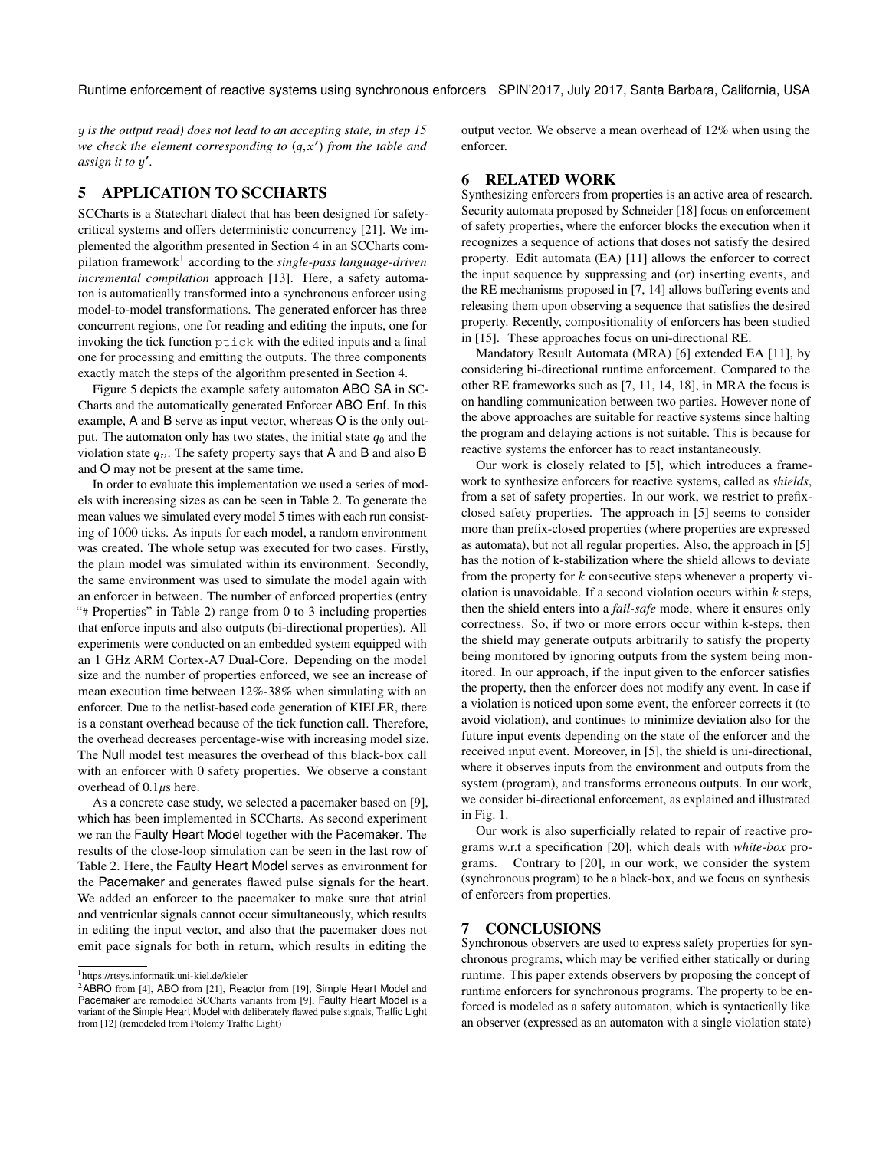y *is the output read) does not lead to an accepting state, in step [15](#page-4-7) we check the element corresponding to*  $(q, x')$  *from the table and assign it to u'* assign it to  $y'$ .

## <span id="page-6-0"></span>5 APPLICATION TO SCCHARTS

SCCharts is a Statechart dialect that has been designed for safetycritical systems and offers deterministic concurrency [\[21\]](#page-7-10). We implemented the algorithm presented in Section [4](#page-4-0) in an SCCharts compilation framework[1](#page-0-1) according to the *single-pass language-driven incremental compilation* approach [\[13\]](#page-7-12). Here, a safety automaton is automatically transformed into a synchronous enforcer using model-to-model transformations. The generated enforcer has three concurrent regions, one for reading and editing the inputs, one for invoking the tick function ptick with the edited inputs and a final one for processing and emitting the outputs. The three components exactly match the steps of the algorithm presented in Section [4.](#page-4-0)

Figure [5](#page-7-13) depicts the example safety automaton ABO SA in SC-Charts and the automatically generated Enforcer ABO Enf. In this example, A and B serve as input vector, whereas O is the only output. The automaton only has two states, the initial state  $q_0$  and the violation state  $q_v$ . The safety property says that A and B and also B and O may not be present at the same time.

In order to evaluate this implementation we used a series of models with increasing sizes as can be seen in Table [2.](#page-7-14) To generate the mean values we simulated every model 5 times with each run consisting of 1000 ticks. As inputs for each model, a random environment was created. The whole setup was executed for two cases. Firstly, the plain model was simulated within its environment. Secondly, the same environment was used to simulate the model again with an enforcer in between. The number of enforced properties (entry "# Properties" in Table [2\)](#page-7-14) range from 0 to 3 including properties that enforce inputs and also outputs (bi-directional properties). All experiments were conducted on an embedded system equipped with an 1 GHz ARM Cortex-A7 Dual-Core. Depending on the model size and the number of properties enforced, we see an increase of mean execution time between 12%-38% when simulating with an enforcer. Due to the netlist-based code generation of KIELER, there is a constant overhead because of the tick function call. Therefore, the overhead decreases percentage-wise with increasing model size. The Null model test measures the overhead of this black-box call with an enforcer with 0 safety properties. We observe a constant overhead of  $0.1\mu s$  here.

As a concrete case study, we selected a pacemaker based on [\[9\]](#page-7-15), which has been implemented in SCCharts. As second experiment we ran the Faulty Heart Model together with the Pacemaker. The results of the close-loop simulation can be seen in the last row of Table [2.](#page-7-14) Here, the Faulty Heart Model serves as environment for the Pacemaker and generates flawed pulse signals for the heart. We added an enforcer to the pacemaker to make sure that atrial and ventricular signals cannot occur simultaneously, which results in editing the input vector, and also that the pacemaker does not emit pace signals for both in return, which results in editing the

output vector. We observe a mean overhead of 12% when using the enforcer.

#### 6 RELATED WORK

Synthesizing enforcers from properties is an active area of research. Security automata proposed by Schneider [\[18\]](#page-7-4) focus on enforcement of safety properties, where the enforcer blocks the execution when it recognizes a sequence of actions that doses not satisfy the desired property. Edit automata (EA) [\[11\]](#page-7-2) allows the enforcer to correct the input sequence by suppressing and (or) inserting events, and the RE mechanisms proposed in [\[7,](#page-7-1) [14\]](#page-7-3) allows buffering events and releasing them upon observing a sequence that satisfies the desired property. Recently, compositionality of enforcers has been studied in [\[15\]](#page-7-19). These approaches focus on uni-directional RE.

Mandatory Result Automata (MRA) [\[6\]](#page-7-20) extended EA [\[11\]](#page-7-2), by considering bi-directional runtime enforcement. Compared to the other RE frameworks such as [\[7,](#page-7-1) [11,](#page-7-2) [14,](#page-7-3) [18\]](#page-7-4), in MRA the focus is on handling communication between two parties. However none of the above approaches are suitable for reactive systems since halting the program and delaying actions is not suitable. This is because for reactive systems the enforcer has to react instantaneously.

Our work is closely related to [\[5\]](#page-7-5), which introduces a framework to synthesize enforcers for reactive systems, called as *shields*, from a set of safety properties. In our work, we restrict to prefixclosed safety properties. The approach in [\[5\]](#page-7-5) seems to consider more than prefix-closed properties (where properties are expressed as automata), but not all regular properties. Also, the approach in [\[5\]](#page-7-5) has the notion of k-stabilization where the shield allows to deviate from the property for  $k$  consecutive steps whenever a property violation is unavoidable. If a second violation occurs within  $k$  steps, then the shield enters into a *fail-safe* mode, where it ensures only correctness. So, if two or more errors occur within k-steps, then the shield may generate outputs arbitrarily to satisfy the property being monitored by ignoring outputs from the system being monitored. In our approach, if the input given to the enforcer satisfies the property, then the enforcer does not modify any event. In case if a violation is noticed upon some event, the enforcer corrects it (to avoid violation), and continues to minimize deviation also for the future input events depending on the state of the enforcer and the received input event. Moreover, in [\[5\]](#page-7-5), the shield is uni-directional, where it observes inputs from the environment and outputs from the system (program), and transforms erroneous outputs. In our work, we consider bi-directional enforcement, as explained and illustrated in Fig. [1.](#page-0-0)

Our work is also superficially related to repair of reactive programs w.r.t a specification [\[20\]](#page-7-21), which deals with *white-box* programs. Contrary to [\[20\]](#page-7-21), in our work, we consider the system (synchronous program) to be a black-box, and we focus on synthesis of enforcers from properties.

## 7 CONCLUSIONS

Synchronous observers are used to express safety properties for synchronous programs, which may be verified either statically or during runtime. This paper extends observers by proposing the concept of runtime enforcers for synchronous programs. The property to be enforced is modeled as a safety automaton, which is syntactically like an observer (expressed as an automaton with a single violation state)

<sup>1</sup> <https://rtsys.informatik.uni-kiel.de/kieler>

<sup>&</sup>lt;sup>2</sup>ABRO from [\[4\]](#page-7-16), ABO from [\[21\]](#page-7-10), Reactor from [\[19\]](#page-7-17), Simple Heart Model and Pacemaker are remodeled SCCharts variants from [\[9\]](#page-7-15), Faulty Heart Model is a variant of the Simple Heart Model with deliberately flawed pulse signals, Traffic Light from [\[12\]](#page-7-18) (remodeled from Ptolemy Traffic Light)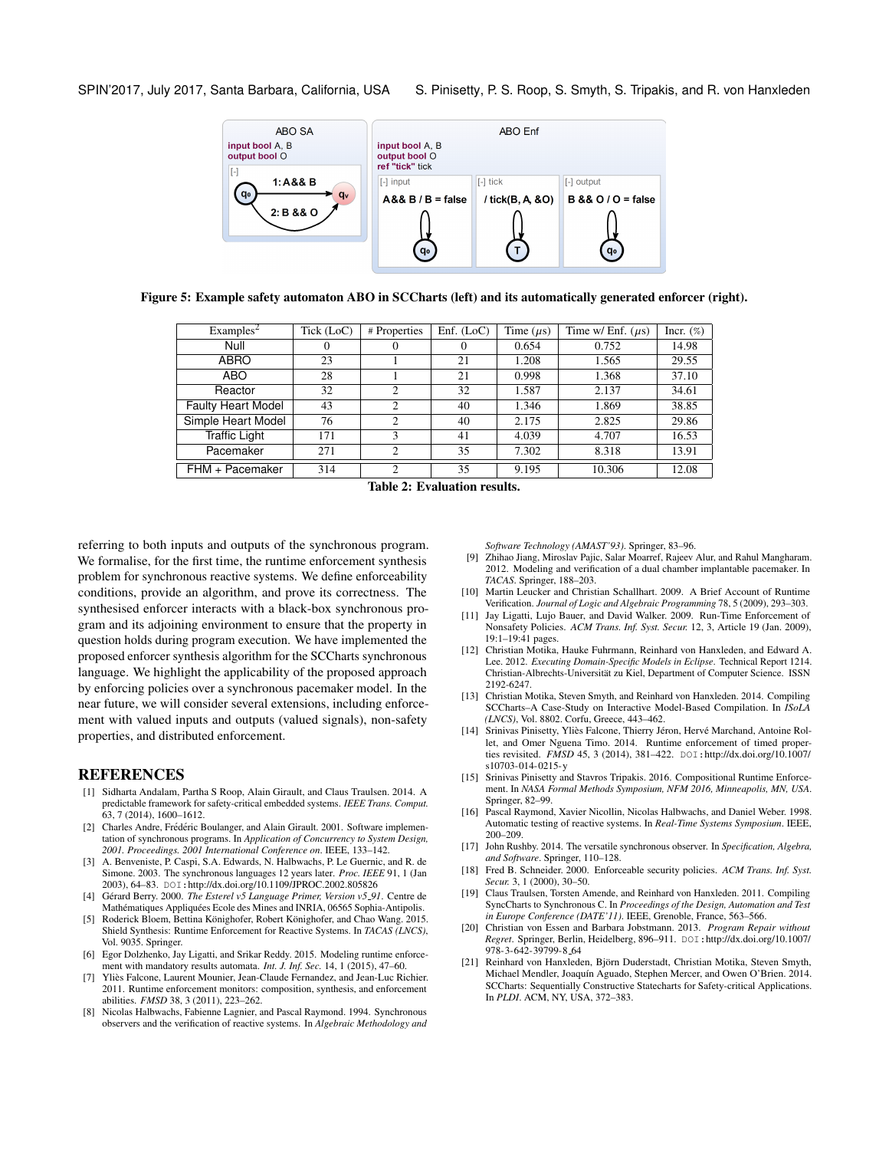<span id="page-7-13"></span>SPIN'2017, July 2017, Santa Barbara, California, USA S. Pinisetty, P. S. Roop, S. Smyth, S. Tripakis, and R. von Hanxleden



<span id="page-7-14"></span>Figure 5: Example safety automaton ABO in SCCharts (left) and its automatically generated enforcer (right).

| Examples <sup>2</sup>     | Tick (LoC) | # Properties   | Enf. $(LoC)$ | Time $(\mu s)$ | Time w/ Enf. $(\mu s)$ | Incr. $(\%)$ |
|---------------------------|------------|----------------|--------------|----------------|------------------------|--------------|
| Null                      | O          | $\theta$       | 0            | 0.654          | 0.752                  | 14.98        |
| ABRO                      | 23         |                | 21           | 1.208          | 1.565                  | 29.55        |
| ABO                       | 28         |                | 21           | 0.998          | 1.368                  | 37.10        |
| Reactor                   | 32         | 2              | 32           | 1.587          | 2.137                  | 34.61        |
| <b>Faulty Heart Model</b> | 43         | $\mathfrak{D}$ | 40           | 1.346          | 1.869                  | 38.85        |
| Simple Heart Model        | 76         | $\overline{2}$ | 40           | 2.175          | 2.825                  | 29.86        |
| <b>Traffic Light</b>      | 171        | 3              | 41           | 4.039          | 4.707                  | 16.53        |
| Pacemaker                 | 271        | $\overline{c}$ | 35           | 7.302          | 8.318                  | 13.91        |
| FHM + Pacemaker           | 314        | $\overline{c}$ | 35           | 9.195          | 10.306                 | 12.08        |

Table 2: Evaluation results.

referring to both inputs and outputs of the synchronous program. We formalise, for the first time, the runtime enforcement synthesis problem for synchronous reactive systems. We define enforceability conditions, provide an algorithm, and prove its correctness. The synthesised enforcer interacts with a black-box synchronous program and its adjoining environment to ensure that the property in question holds during program execution. We have implemented the proposed enforcer synthesis algorithm for the SCCharts synchronous language. We highlight the applicability of the proposed approach by enforcing policies over a synchronous pacemaker model. In the near future, we will consider several extensions, including enforcement with valued inputs and outputs (valued signals), non-safety properties, and distributed enforcement.

#### **REFERENCES**

- [1] Sidharta Andalam, Partha S Roop, Alain Girault, and Claus Traulsen. 2014. A predictable framework for safety-critical embedded systems. *IEEE Trans. Comput.* 63, 7 (2014), 1600–1612.
- <span id="page-7-11"></span>[2] Charles Andre, Frédéric Boulanger, and Alain Girault. 2001. Software implementation of synchronous programs. In *Application of Concurrency to System Design, 2001. Proceedings. 2001 International Conference on*. IEEE, 133–142.
- <span id="page-7-6"></span>[3] A. Benveniste, P. Caspi, S.A. Edwards, N. Halbwachs, P. Le Guernic, and R. de Simone. 2003. The synchronous languages 12 years later. *Proc. IEEE* 91, 1 (Jan 2003), 64–83. DOI:<http://dx.doi.org/10.1109/JPROC.2002.805826>
- <span id="page-7-16"></span>[4] Gérard Berry. 2000. The Esterel v5 Language Primer, Version v5\_91. Centre de Mathématiques Appliquées Ecole des Mines and INRIA, 06565 Sophia-Antipolis.
- <span id="page-7-5"></span>[5] Roderick Bloem, Bettina Könighofer, Robert Könighofer, and Chao Wang. 2015. Shield Synthesis: Runtime Enforcement for Reactive Systems. In *TACAS (LNCS)*, Vol. 9035. Springer.
- <span id="page-7-20"></span>[6] Egor Dolzhenko, Jay Ligatti, and Srikar Reddy. 2015. Modeling runtime enforcement with mandatory results automata. *Int. J. Inf. Sec.* 14, 1 (2015), 47–60.
- <span id="page-7-1"></span>[7] Yliès Falcone, Laurent Mounier, Jean-Claude Fernandez, and Jean-Luc Richier. 2011. Runtime enforcement monitors: composition, synthesis, and enforcement abilities. *FMSD* 38, 3 (2011), 223–262.
- <span id="page-7-7"></span>[8] Nicolas Halbwachs, Fabienne Lagnier, and Pascal Raymond. 1994. Synchronous observers and the verification of reactive systems. In *Algebraic Methodology and*

*Software Technology (AMAST'93)*. Springer, 83–96.

- <span id="page-7-15"></span>[9] Zhihao Jiang, Miroslav Pajic, Salar Moarref, Rajeev Alur, and Rahul Mangharam. 2012. Modeling and verification of a dual chamber implantable pacemaker. In *TACAS*. Springer, 188–203.
- <span id="page-7-0"></span>[10] Martin Leucker and Christian Schallhart. 2009. A Brief Account of Runtime Verification. *Journal of Logic and Algebraic Programming* 78, 5 (2009), 293–303.
- <span id="page-7-2"></span>[11] Jay Ligatti, Lujo Bauer, and David Walker. 2009. Run-Time Enforcement of Nonsafety Policies. *ACM Trans. Inf. Syst. Secur.* 12, 3, Article 19 (Jan. 2009), 19:1–19:41 pages.
- <span id="page-7-18"></span>[12] Christian Motika, Hauke Fuhrmann, Reinhard von Hanxleden, and Edward A. Lee. 2012. *Executing Domain-Specific Models in Eclipse*. Technical Report 1214. Christian-Albrechts-Universitat zu Kiel, Department of Computer Science. ISSN ¨ 2192-6247.
- <span id="page-7-12"></span>[13] Christian Motika, Steven Smyth, and Reinhard von Hanxleden. 2014. Compiling SCCharts–A Case-Study on Interactive Model-Based Compilation. In *ISoLA (LNCS)*, Vol. 8802. Corfu, Greece, 443–462.
- <span id="page-7-3"></span>[14] Srinivas Pinisetty, Yliès Falcone, Thierry Jéron, Hervé Marchand, Antoine Rollet, and Omer Nguena Timo. 2014. Runtime enforcement of timed properties revisited. *FMSD* 45, 3 (2014), 381-422. DOI:[http://dx.doi.org/10.1007/](http://dx.doi.org/10.1007/s10703-014-0215-y) [s10703-014-0215-y](http://dx.doi.org/10.1007/s10703-014-0215-y)
- <span id="page-7-19"></span>[15] Srinivas Pinisetty and Stavros Tripakis. 2016. Compositional Runtime Enforcement. In *NASA Formal Methods Symposium, NFM 2016, Minneapolis, MN, USA*. Springer, 82–99.
- <span id="page-7-8"></span>[16] Pascal Raymond, Xavier Nicollin, Nicolas Halbwachs, and Daniel Weber. 1998. Automatic testing of reactive systems. In *Real-Time Systems Symposium*. IEEE, 200–209.
- <span id="page-7-9"></span>[17] John Rushby. 2014. The versatile synchronous observer. In *Specification, Algebra, and Software*. Springer, 110–128.
- <span id="page-7-4"></span>[18] Fred B. Schneider. 2000. Enforceable security policies. *ACM Trans. Inf. Syst. Secur.* 3, 1 (2000), 30–50.
- <span id="page-7-17"></span>[19] Claus Traulsen, Torsten Amende, and Reinhard von Hanxleden. 2011. Compiling SyncCharts to Synchronous C. In *Proceedings of the Design, Automation and Test in Europe Conference (DATE'11)*. IEEE, Grenoble, France, 563–566.
- <span id="page-7-21"></span>[20] Christian von Essen and Barbara Jobstmann. 2013. *Program Repair without Regret*. Springer, Berlin, Heidelberg, 896–911. DOI:[http://dx.doi.org/10.1007/](http://dx.doi.org/10.1007/978-3-642-39799-8_64) [978-3-642-39799-8](http://dx.doi.org/10.1007/978-3-642-39799-8_64) 64
- <span id="page-7-10"></span>[21] Reinhard von Hanxleden, Björn Duderstadt, Christian Motika, Steven Smyth, Michael Mendler, Joaquín Aguado, Stephen Mercer, and Owen O'Brien. 2014. SCCharts: Sequentially Constructive Statecharts for Safety-critical Applications. In *PLDI*. ACM, NY, USA, 372–383.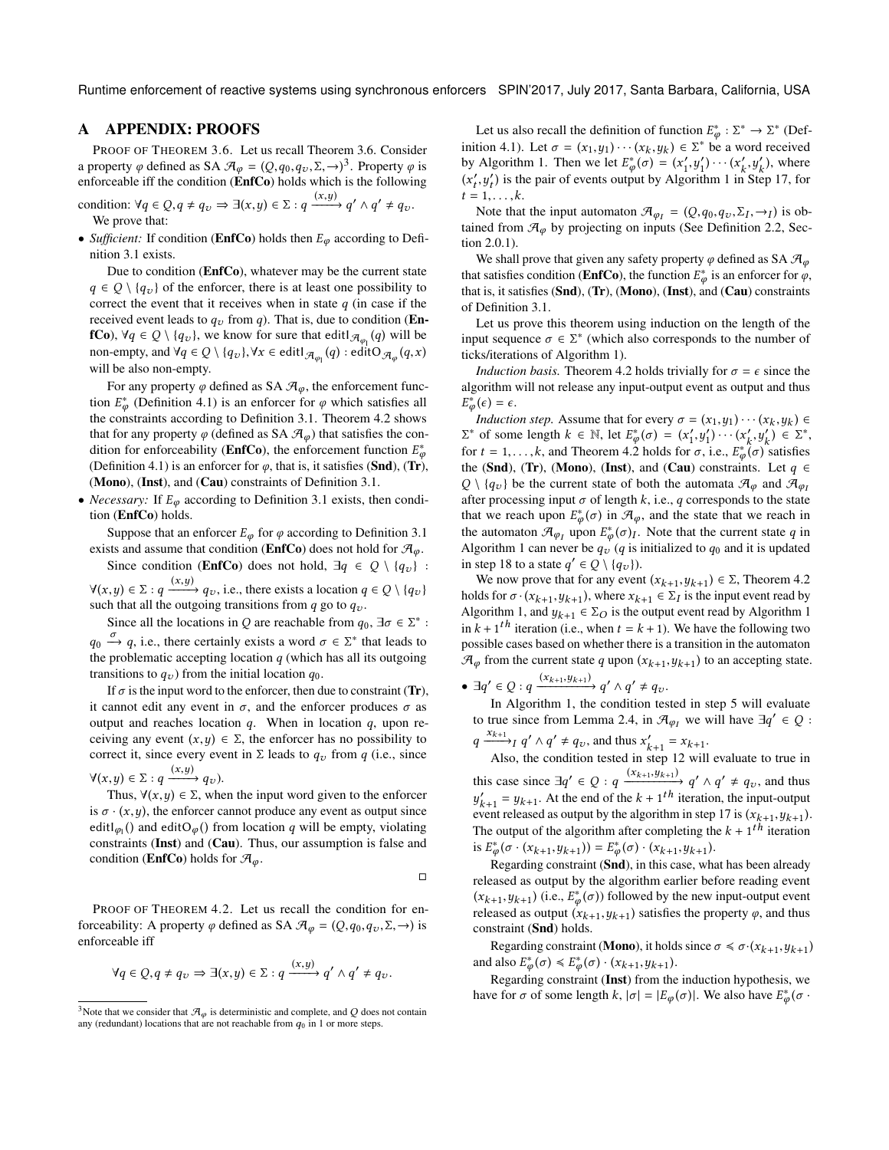Runtime enforcement of reactive systems using synchronous enforcers SPIN'2017, July 2017, Santa Barbara, California, USA

#### <span id="page-8-0"></span>A APPENDIX: PROOFS

PROOF OF THEOREM [3.6.](#page-4-2) Let us recall Theorem [3.6.](#page-4-2) Consider a property  $\varphi$  defined as SA  $\mathcal{A}_{\varphi} = (Q, q_0, q_v, \Sigma, \rightarrow)^3$  $\mathcal{A}_{\varphi} = (Q, q_0, q_v, \Sigma, \rightarrow)^3$ . Property  $\varphi$  is enforceable iff the condition ([EnfCo](#page-4-3)) holds which is the following

condition: 
$$
\forall q \in Q, q \neq q_v \Rightarrow \exists (x, y) \in \Sigma : q \xrightarrow{(x, y)} q' \land q' \neq q_v
$$
.  
We prove that:

• *Sufficient:* If condition (**[EnfCo](#page-4-3)**) holds then  $E_{\varphi}$  according to Definition [3.1](#page-2-9) exists.

Due to condition ([EnfCo](#page-4-3)), whatever may be the current state  $q \in Q \setminus \{q_v\}$  of the enforcer, there is at least one possibility to correct the event that it receives when in state  $q$  (in case if the received event leads to  $q_v$  from q). That is, due to condition ([En](#page-4-3)**[fCo](#page-4-3)**),  $\forall q \in Q \setminus \{q_v\}$ , we know for sure that edit $\forall q \in (q)$  will be non-ampty and  $\forall q \in Q \setminus \{q_v\}$ .  $\forall r \in \text{edit} \setminus \{q_v\}$  adit $Q = (q, r)$ . non-empty, and  $\forall q \in Q \setminus \{q_v\}, \forall x \in \text{editJ}_{\mathcal{A}_{\varphi_1}}(q) : \text{editO}_{\mathcal{A}_{\varphi}}(q, x)$ will be also non-empty.

For any property  $\varphi$  defined as SA  $\mathcal{A}_{\varphi}$ , the enforcement function  $E^*_{\varphi}$  (Definition [4.1\)](#page-5-3) is an enforcer for  $\varphi$  which satisfies all<br>the constraints according to Definition 3.1. Theorem 4.2 shows the constraints according to Definition [3.1.](#page-2-9) Theorem [4.2](#page-5-2) shows that for any property  $\varphi$  (defined as SA  $\mathcal{A}_{\varphi}$ ) that satisfies the condition for enforceability (**[EnfCo](#page-4-3)**), the enforcement function  $E^*$ <br>
(Definition 4.1) is an enforcer for  $\alpha$ , that is it satisfies (**Snd**) (**T**r) (Definition [4.1\)](#page-5-3) is an enforcer for  $\varphi$ , that is, it satisfies (**[Snd](#page-2-3)**), (**[Tr](#page-2-6)**),<br>(**Mone**), (**Inst**), and (**Cau**) constraints of Definition 3.1 ([Mono](#page-2-4)), ([Inst](#page-2-5)), and ([Cau](#page-2-7)) constraints of Definition [3.1.](#page-2-9)

• *Necessary:* If  $E_{\varphi}$  according to Definition [3.1](#page-2-9) exists, then condition ([EnfCo](#page-4-3)) holds.

Suppose that an enforcer  $E_{\varphi}$  for  $\varphi$  according to Definition [3.1](#page-2-9) exists and assume that condition (**[EnfCo](#page-4-3)**) does not hold for  $\mathcal{A}_{\varphi}$ .

Since condition ([EnfCo](#page-4-3)) does not hold,  $\exists q \in Q \setminus \{q_v\}$ :  $\forall (x, y) \in \Sigma : q \xrightarrow{(x, y)} q_v$ , i.e., there exists a location  $q \in Q \setminus \{q_v\}$ <br>such that all the outgoing transitions from a go to a

such that all the outgoing transitions from  $q$  go to  $q_v$ .

Since all the locations in Q are reachable from  $q_0$ ,  $\exists \sigma \in \Sigma^*$ :  $q_0 \stackrel{\sigma}{\rightarrow} q$ , i.e., there certainly exists a word  $\sigma \in \Sigma^*$  that leads to the problematic accepting location  $\sigma$  (which has all its outgoing the problematic accepting location  $q$  (which has all its outgoing transitions to  $q_v$ ) from the initial location  $q_0$ .

If  $\sigma$  is the input word to the enforcer, then due to constraint ([Tr](#page-2-6)), it cannot edit any event in  $\sigma$ , and the enforcer produces  $\sigma$  as output and reaches location  $q$ . When in location  $q$ , upon receiving any event  $(x, y) \in \Sigma$ , the enforcer has no possibility to correct it, since every event in  $\Sigma$  leads to  $q_v$  from q (i.e., since

 $\forall (x, y) \in \Sigma : q \xrightarrow{(x, y)} q_{\nu}$ .<br>
Thus  $\forall (x, y) \in \Sigma$  who Thus,  $\forall (x, y) \in \Sigma$ , when the input word given to the enforcer

is  $\sigma \cdot (x, y)$ , the enforcer cannot produce any event as output since editl<sub> $\varphi_1$ </sub>() and edit $O_\varphi$ () from location q will be empty, violating<br>constraints (**Inst**) and (**Cau**). Thus, our assumption is false and constraints ([Inst](#page-2-5)) and ([Cau](#page-2-7)). Thus, our assumption is false and condition (**[EnfCo](#page-4-3)**) holds for  $\mathcal{A}_{\varphi}$ .

 $\Box$ 

PROOF OF THEOREM [4.2.](#page-5-2) Let us recall the condition for enforceability: A property  $\varphi$  defined as SA  $\mathcal{A}_{\varphi} = (Q, q_0, q_v, \Sigma, \rightarrow)$  is enforceable iff

$$
\forall q \in Q, q \neq q_{\upsilon} \Rightarrow \exists (x, y) \in \Sigma : q \xrightarrow{(x, y)} q' \wedge q' \neq q_{\upsilon}.
$$

Let us also recall the definition of function  $E_{\phi}^* : \Sigma^* \to \Sigma^*$  (Def-<br>tion 4.1) Let  $\pi = (x_1, y_1) \in \Sigma^*$  has a word resolved inition [4.1\)](#page-5-3). Let  $\sigma = (x_1, y_1) \cdots (x_k, y_k) \in \Sigma^*$  be a word received<br>by Algorithm 1. Then we let  $F^*(\sigma) = (x', y') \cdots (x', y')$  where by Algorithm [1.](#page-4-4) Then we let  $E_{\phi}^*(\sigma) = (x'_1, y'_1) \cdots (x'_k, y'_k)$ , where  $(e'_1, y'_2)$  is the poir of quante output by Algorithm 1 in Stop 17, for  $(x'_t, y'_t)$  is the pair of events output by Algorithm [1](#page-4-4) in Step [17,](#page-4-5) for  $(x'_t, y'_t)$  is the pair of events output by Algorithm 1 in Step 17, for  $t = 1, \ldots, k.$ <br>Note that

Note that the input automaton  $\mathcal{A}_{\varphi_I} = (Q, q_0, q_v, \Sigma_I, \rightarrow_I)$  is ob-<br>ned from  $\mathcal{A}$  by projecting on inputs (See Definition 2.2, Sec. tained from  $\mathcal{A}_{\varphi}$  by projecting on inputs (See Definition [2.2,](#page-2-2) Section [2.0.1\)](#page-2-10).

We shall prove that given any safety property  $\varphi$  defined as SA  $\mathcal{A}_{\varphi}$ that satisfies condition (**[EnfCo](#page-4-3)**), the function  $E_{\phi}^*$  is an enforcer for  $\phi$ ,<br>that is it satisfies (**Snd**) (**Tr**) (**Mono**) (**Inst**) and (**Cau**) constraints that is, it satisfies ([Snd](#page-2-3)), ([Tr](#page-2-6)), ([Mono](#page-2-4)), ([Inst](#page-2-5)), and ([Cau](#page-2-7)) constraints of Definition [3.1.](#page-2-9)

Let us prove this theorem using induction on the length of the input sequence  $\sigma \in \Sigma^*$  (which also corresponds to the number of ticks/iterations of Algorithm 1) ticks/iterations of Algorithm [1\)](#page-4-4).

*Induction basis.* Theorem [4.2](#page-5-2) holds trivially for  $\sigma = \epsilon$  since the algorithm will not release any input-output event as output and thus  $\phi(\epsilon) = \epsilon.$ <br>Induction

*Induction step.* Assume that for every  $\sigma = (x_1, y_1) \cdots (x_k, y_k) \in$ <br>\* of some length  $k \in \mathbb{N}$  let  $F^*(\sigma) = (x', y') \cdots (x', y') \in \Sigma^*$  $\Sigma^*$  of some length  $k \in \mathbb{N}$ , let  $E^*_{\varphi}(\sigma) = (x'_1, y'_1) \cdots (x'_k, y'_k) \in \Sigma^*$ ,<br>for  $t = 1$ , but Theorem 4.2 holds for  $\sigma$ , i.e.  $E^* (\sigma)$  satisfies for  $t = 1, \ldots, k$ , and Theorem [4.2](#page-5-2) holds for  $\sigma$ , i.e.,  $E_{\phi}^*(\sigma)$  satisfies<br>the (Spd) (Tr) (Mone) (Int) and (Can) constraints. Let  $\sigma \in$ the ([Snd](#page-2-3)), ([Tr](#page-2-6)), ([Mono](#page-2-4)), ([Inst](#page-2-5)), and ([Cau](#page-2-7)) constraints. Let  $q \in$   $\Omega$  )  $\{q, \}$  be the current state of both the automata  $\mathcal{F}$  and  $\mathcal{F}$  $Q \setminus \{q_v\}$  be the current state of both the automata  $\mathcal{A}_{\varphi}$  and  $\mathcal{A}_{\varphi}$ after processing input  $\sigma$  of length k, i.e., q corresponds to the state that we reach upon  $E^*_{\phi}(\sigma)$  in  $\mathcal{A}_{\phi}$ , and the state that we reach in the automaton  $\mathcal{A}_{\varphi_I}$  upon  $E^*_{\varphi}(\sigma)_I$ . Note that the current state q in<br>Algorithm 1 can never be  $g_{\varphi}$  (q is initialized to  $g_{\varphi}$  and it is undated Algorithm [1](#page-4-4) can never be  $q_v^T$  (q is initialized to  $q_0$  and it is updated<br>in step 18 to a state  $q' \in Q \setminus \{q, 1\}$ in step [18](#page-4-9) to a state  $q' \in Q \setminus \{q_v\}$ .<br>We now prove that for any even

We now prove that for any event  $(x_{k+1}, y_{k+1}) \in \Sigma$ , Theorem [4.2](#page-5-2)<br>lds for  $\sigma_1(x_{k+1}, y_{k+1})$  where  $x_{k+1} \in \Sigma$ , is the input event read by holds for  $\sigma \cdot (x_{k+1}, y_{k+1})$ , where  $x_{k+1} \in \Sigma_I$  is the input event read by  $\Delta$ loorithm 1 and  $y_{k+1} \in \Sigma_O$  is the output event read by  $\Delta$ loorithm 1 Algorithm [1,](#page-4-4) and  $y_{k+1} \in \Sigma_O$  is the output event read by Algorithm [1](#page-4-4) in  $k + 1<sup>th</sup>$  iteration (i.e., when  $t = k + 1$ ). We have the following two possible cases based on whether there is a transition in the automaton possible cases based on whether there is a transition in the automaton  $\mathcal{A}_{\varphi}$  from the current state q upon  $(x_{k+1}, y_{k+1})$  to an accepting state.

•  $\exists q' \in Q : q \xrightarrow{(x_{k+1}, y_{k+1})} q' \wedge q' \neq q_v.$ <br>In Algorithm 1, the condition to

In Algorithm [1,](#page-4-4) the condition tested in step [5](#page-4-8) will evaluate to true since from Lemma [2.4,](#page-2-1) in  $\mathcal{A}_{\varphi_I}$  we will have  $\exists q' \in Q$ :

 $\overline{a}$  $x_{k+1}$ <br>  $\longrightarrow_I q' \wedge q' \neq q_v$ , and thus  $x'_{k+1} = x_{k+1}$ .<br>
Also the condition tested in step 12 will

Also, the condition tested in step [12](#page-4-10) will evaluate to true in this case since  $\exists q' \in Q : q \xrightarrow{(x_{k+1}, y_{k+1})} q' \wedge q' \neq q_v$ , and thus  $y_{k+1} - y_{k+1}$ . At the end of the *k* + 1 is terration, the input-output<br>event released as output by the algorithm in step [17](#page-4-5) is  $(x_{k+1}, y_{k+1})$ .<br>The output of the algorithm after completing the *k* + 1<sup>th</sup> iteration  $\begin{cases} u'_{k+1} = y_{k+1}$ . At the end of the  $k+1$ <sup>th</sup> iteration, the input-output vent released as output by the algorithm in step 17 is  $(x_1, y_1, y_2)$  $, y_{k+1}$ eratio The output of the algorithm after completing the  $k + 1^{th}$  iteration<br>is  $F^*(\sigma_1(x_1, y_1, y_1)) = F^*(\sigma_1(x_1, y_1, y_1)$ is  $E^*_{\varphi}(\sigma \cdot (x_{k+1}, y_{k+1})) = E^*_{\varphi}(\sigma) \cdot (x_{k+1}, y_{k+1}).$ <br>
Percenting constraint (Spd) in this case, where

 $\psi_{\varphi}(\sigma \cdot (x_{k+1}, y_{k+1})) = E_{\varphi}(\sigma) \cdot (x_{k+1}, y_{k+1}).$ <br>Regarding constraint (**[Snd](#page-2-3)**), in this case, what has been already released as output by the algorithm earlier before reading event  $(x_{k+1}, y_{k+1})$  (i.e.,  $E^*(\sigma)$ ) followed by the new input-output event<br>released as output  $(x_{k+1}, y_{k+1})$  satisfies the property  $\sigma$  and thus released as output  $(x_{k+1}, y_{k+1})$  satisfies the property  $\varphi$ , and thus constraint (**Snd**) holds constraint ([Snd](#page-2-3)) holds.

Regarding constraint (**[Mono](#page-2-4)**), it holds since  $\sigma \le \sigma \cdot (x_{k+1}, y_{k+1})$ <br>also  $F^*(\sigma) \le F^*(\sigma) \cdot (x_{k+1}, y_{k+1})$ and also  $E^*_{\varphi}(\sigma) \leq E^*_{\varphi}(\sigma) \cdot (x_{k+1}, y_{k+1}).$ <br>
Percenting constraint (**In**ot) from the

Regarding constraint ([Inst](#page-2-5)) from the induction hypothesis, we have for  $\sigma$  of some length k,  $|\sigma| = |E_{\varphi}(\sigma)|$ . We also have  $E_{\varphi}^*(\sigma \cdot$ φ

<sup>&</sup>lt;sup>3</sup>Note that we consider that  $\mathcal{A}_{\varphi}$  is deterministic and complete, and Q does not contain any (redundant) locations that are not reachable from  $q_0$  in 1 or more steps.